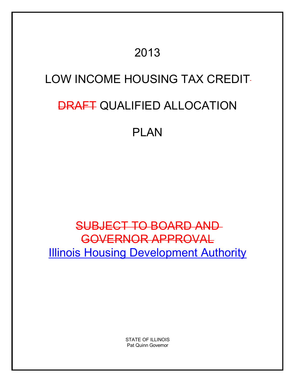## 2013

## LOW INCOME HOUSING TAX CREDIT

# **DRAFT QUALIFIED ALLOCATION**

## PLAN

## SUBJECT TO BOARD AND GOVERNOR APPROVAL **Illinois Housing Development Authority**

STATE OF ILLINOIS Pat Quinn Governor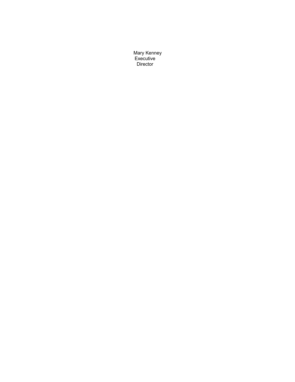Mary Kenney Executive Director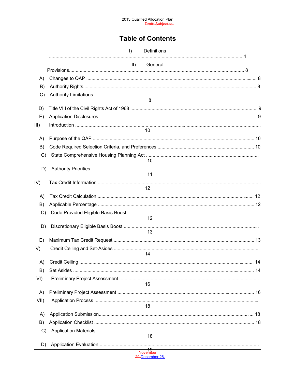## **Table of Contents**

|               | Definitions<br>$\vert$   |  |
|---------------|--------------------------|--|
|               | $\parallel$ )<br>General |  |
|               |                          |  |
| A)            |                          |  |
| B)            |                          |  |
| $\mathcal{C}$ | 8                        |  |
| D)            |                          |  |
| E)            |                          |  |
| III)          |                          |  |
|               | 10                       |  |
| A)            |                          |  |
| B)            |                          |  |
| $\mathcal{C}$ |                          |  |
|               | 10                       |  |
| D)            | 11                       |  |
| IV)           |                          |  |
|               | 12                       |  |
| A)            |                          |  |
| B)            |                          |  |
| C)            |                          |  |
|               | 12                       |  |
| D)            | 13                       |  |
| E)            |                          |  |
| V)            |                          |  |
|               | 14                       |  |
| A)            |                          |  |
| B)            |                          |  |
| VI)           | 16                       |  |
| A)            |                          |  |
| VII)          |                          |  |
|               | 18                       |  |
| A)            |                          |  |
| B)            |                          |  |
| $\mathcal{C}$ |                          |  |
|               | 18                       |  |
| D)            | 19<br>November           |  |
|               | 29, December 26,         |  |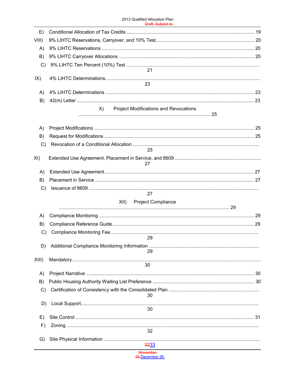| E)            |                                                    |  |
|---------------|----------------------------------------------------|--|
| VIII)         |                                                    |  |
| A)            |                                                    |  |
| B)            |                                                    |  |
| C)            | 21                                                 |  |
| IX)           |                                                    |  |
|               | 23                                                 |  |
| A)            |                                                    |  |
| B)            | <b>Project Modifications and Revocations</b><br>X) |  |
|               |                                                    |  |
| A)            |                                                    |  |
| B)            |                                                    |  |
| C)            |                                                    |  |
|               | 25                                                 |  |
| XI)           | 27                                                 |  |
| A)            |                                                    |  |
| B)            |                                                    |  |
| $\mathcal{C}$ |                                                    |  |
|               | 27                                                 |  |
|               | XII) Project Compliance                            |  |
| A)            |                                                    |  |
| B)            |                                                    |  |
| $\mathcal{C}$ |                                                    |  |
|               | 29                                                 |  |
| D)            | 29                                                 |  |
| $XIII$ )      |                                                    |  |
|               | 30                                                 |  |
| A)            |                                                    |  |
| B)            |                                                    |  |
| $\mathcal{C}$ | 30                                                 |  |
| D)            |                                                    |  |
|               | 30                                                 |  |
| E)            |                                                    |  |
| F)            | 32                                                 |  |
| G)            |                                                    |  |
|               | 3233<br><b>November</b>                            |  |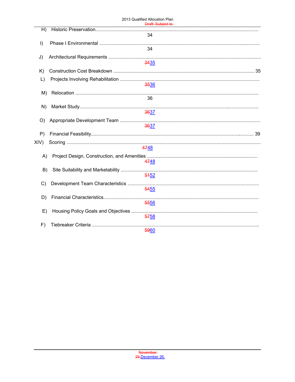|           | <del>Diali. Subjeci to</del> |
|-----------|------------------------------|
| H)        |                              |
|           | 34                           |
| $\vert$ ) |                              |
|           | 34                           |
| J)        |                              |
|           | 3435                         |
| K)        |                              |
| $\lfloor$ |                              |
|           | 3536                         |
| M)        |                              |
|           | 36                           |
| N)        |                              |
|           | 3637                         |
| O)        |                              |
|           | 3637                         |
| P)        |                              |
| XIV)      |                              |
|           | 4748                         |
| A)        |                              |
|           | 4748                         |
| B)        |                              |
|           | 5452                         |
| C)        |                              |
|           | 5455                         |
| D)        |                              |
|           | 5556                         |
| E)        |                              |
|           | 5758                         |
| F)        |                              |
|           | 5960                         |
|           |                              |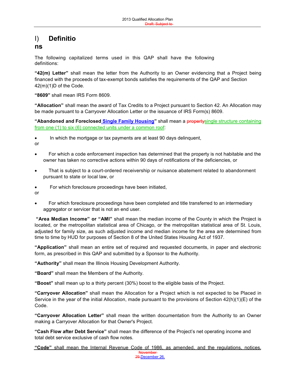## I) **Definitio**

### **ns**

The following capitalized terms used in this QAP shall have the following definitions:

**"42(m) Letter"** shall mean the letter from the Authority to an Owner evidencing that a Project being financed with the proceeds of tax-exempt bonds satisfies the requirements of the QAP and Section 42(m)(1)D of the Code.

**"8609"** shall mean IRS Form 8609.

**"Allocation"** shall mean the award of Tax Credits to a Project pursuant to Section 42. An Allocation may be made pursuant to a Carryover Allocation Letter or the issuance of IRS Form(s) 8609.

**"Abandoned and Foreclosed Single Family Housing"** shall mean a propertysingle structure containing from one (1) to six (6) connected units under a common roof:

- In which the mortgage or tax payments are at least 90 days delinquent,
- or
- For which a code enforcement inspection has determined that the property is not habitable and the owner has taken no corrective actions within 90 days of notifications of the deficiencies, or
- That is subject to a court-ordered receivership or nuisance abatement related to abandonment pursuant to state or local law, or
- For which foreclosure proceedings have been initiated,

or

 For which foreclosure proceedings have been completed and title transferred to an intermediary aggregator or servicer that is not an end user.

**"Area Median Income" or "AMI"** shall mean the median income of the County in which the Project is located, or the metropolitan statistical area of Chicago, or the metropolitan statistical area of St. Louis, adjusted for family size, as such adjusted income and median income for the area are determined from time to time by HUD for purposes of Section 8 of the United States Housing Act of 1937.

**"Application"** shall mean an entire set of required and requested documents, in paper and electronic form, as prescribed in this QAP and submitted by a Sponsor to the Authority.

**"Authority"** shall mean the Illinois Housing Development Authority.

**"Board"** shall mean the Members of the Authority.

**"Boost"** shall mean up to a thirty percent (30%) boost to the eligible basis of the Project.

**"Carryover Allocation"** shall mean the Allocation for a Project which is not expected to be Placed in Service in the year of the initial Allocation, made pursuant to the provisions of Section 42(h)(1)(E) of the Code.

**"Carryover Allocation Letter"** shall mean the written documentation from the Authority to an Owner making a Carryover Allocation for that Owner's Project.

**"Cash Flow after Debt Service"** shall mean the difference of the Project's net operating income and total debt service exclusive of cash flow notes.

**November "Code"** shall mean the Internal Revenue Code of 1986, as amended, and the regulations, notices,

29,December 26,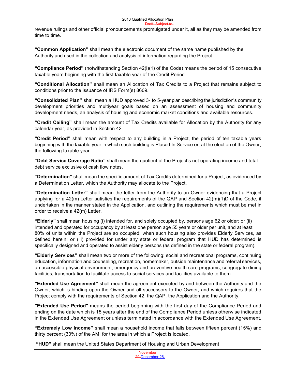revenue rulings and other official pronouncements promulgated under it, all as they may be amended from time to time.

**"Common Application"** shall mean the electronic document of the same name published by the Authority and used in the collection and analysis of information regarding the Project.

**"Compliance Period"** (notwithstanding Section 42(i)(1) of the Code) means the period of 15 consecutive taxable years beginning with the first taxable year of the Credit Period.

**"Conditional Allocation"** shall mean an Allocation of Tax Credits to a Project that remains subject to conditions prior to the issuance of IRS Form(s) 8609.

**"Consolidated Plan"** shall mean a HUD approved 3- to 5-year plan describing the jurisdiction's community development priorities and multiyear goals based on an assessment of housing and community development needs, an analysis of housing and economic market conditions and available resources.

**"Credit Ceiling"** shall mean the amount of Tax Credits available for Allocation by the Authority for any calendar year, as provided in Section 42.

**"Credit Period"** shall mean with respect to any building in a Project, the period of ten taxable years beginning with the taxable year in which such building is Placed In Service or, at the election of the Owner, the following taxable year.

**"Debt Service Coverage Ratio"** shall mean the quotient of the Project's net operating income and total debt service exclusive of cash flow notes.

**"Determination"** shall mean the specific amount of Tax Credits determined for a Project, as evidenced by a Determination Letter, which the Authority may allocate to the Project.

**"Determination Letter"** shall mean the letter from the Authority to an Owner evidencing that a Project applying for a 42(m) Letter satisfies the requirements of the QAP and Section 42(m)(1)D of the Code, if undertaken in the manner stated in the Application, and outlining the requirements which must be met in order to receive a 42(m) Letter.

**"Elderly"** shall mean housing (i) intended for, and solely occupied by, persons age 62 or older; or (ii) intended and operated for occupancy by at least one person age 55 years or older per unit, and at least 80% of units within the Project are so occupied, when such housing also provides Elderly Services, as defined herein; or (iii) provided for under any state or federal program that HUD has determined is specifically designed and operated to assist elderly persons (as defined in the state or federal program).

**"Elderly Services"** shall mean two or more of the following: social and recreational programs, continuing education, information and counseling, recreation, homemaker, outside maintenance and referral services, an accessible physical environment, emergency and preventive health care programs, congregate dining facilities, transportation to facilitate access to social services and facilities available to them.

**"Extended Use Agreement"** shall mean the agreement executed by and between the Authority and the Owner, which is binding upon the Owner and all successors to the Owner, and which requires that the Project comply with the requirements of Section 42, the QAP, the Application and the Authority.

**"Extended Use Period"** means the period beginning with the first day of the Compliance Period and ending on the date which is 15 years after the end of the Compliance Period unless otherwise indicated in the Extended Use Agreement or unless terminated in accordance with the Extended Use Agreement.

**"Extremely Low Income"** shall mean a household income that falls between fifteen percent (15%) and thirty percent (30%) of the AMI for the area in which a Project is located.

**"HUD"** shall mean the United States Department of Housing and Urban Development

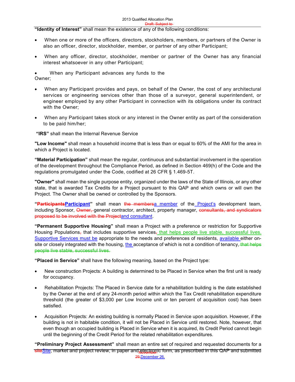"Identity of Interest" shall mean the existence of any of the following conditions:

- When one or more of the officers, directors, stockholders, members, or partners of the Owner is also an officer, director, stockholder, member, or partner of any other Participant;
- When any officer, director, stockholder, member or partner of the Owner has any financial interest whatsoever in any other Participant;
- When any Participant advances any funds to the Owner;
- When any Participant provides and pays, on behalf of the Owner, the cost of any architectural services or engineering services other than those of a surveyor, general superintendent, or engineer employed by any other Participant in connection with its obligations under its contract with the Owner;
- When any Participant takes stock or any interest in the Owner entity as part of the consideration to be paid him/her;

**"IRS"** shall mean the Internal Revenue Service

**"Low Income"** shall mean a household income that is less than or equal to 60% of the AMI for the area in which a Project is located.

**"Material Participation"** shall mean the regular, continuous and substantial involvement in the operation of the development throughout the Compliance Period, as defined in Section 469(h) of the Code and the regulations promulgated under the Code, codified at 26 CFR § 1.469-5T.

**"Owner"** shall mean the single purpose entity, organized under the laws of the State of Illinois, or any other state, that is awarded Tax Credits for a Project pursuant to this QAP and which owns or will own the Project. The Owner shall be owned or controlled by the Sponsors.

**"ParticipantsParticipant"** shall mean the membersa member of the Project's development team, including Sponsor, Owner, general contractor, architect, property manager, consultants, and syndicators proposed to be involved with the Projectand consultant.

**"Permanent Supportive Housing"** shall mean a Project with a preference or restriction for Supportive Housing Populations<sub>7</sub> that includes supportive services<sub>7</sub> that helps people live stable, successful lives. Supportive Services must be appropriate to the needs and preferences of residents, available either onsite or closely integrated with the housing, the acceptance of which is not a condition of tenancy, that helps people live stable, successful lives.

**"Placed in Service"** shall have the following meaning, based on the Project type:

- New construction Projects: A building is determined to be Placed in Service when the first unit is ready for occupancy.
- Rehabilitation Projects: The Placed in Service date for a rehabilitation building is the date established by the Owner at the end of any 24-month period within which the Tax Credit rehabilitation expenditure threshold (the greater of \$3,000 per Low Income unit or ten percent of acquisition cost) has been satisfied.
- Acquisition Projects: An existing building is normally Placed in Service upon acquisition. However, if the building is not in habitable condition, it will not be Placed in Service until restored. Note, however, that even though an occupied building is Placed in Service when it is acquired, its Credit Period cannot begin until the beginning of the Credit Period for the related rehabilitation expenditures.

<del>site<u>Site</u>,</del> market and project review, in paper and <u>electron</u>ic form, as prescribed in this QAP and submitted 29,December 26, **"Preliminary Project Assessment"** shall mean an entire set of required and requested documents for a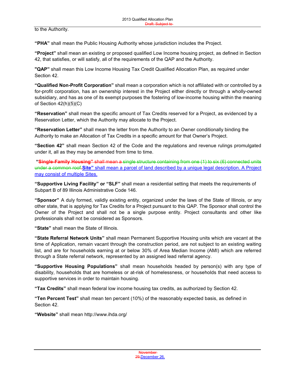to the Authority.

**"PHA"** shall mean the Public Housing Authority whose jurisdiction includes the Project.

**"Project"** shall mean an existing or proposed qualified Low Income housing project, as defined in Section 42, that satisfies, or will satisfy, all of the requirements of the QAP and the Authority.

**"QAP"** shall mean this Low Income Housing Tax Credit Qualified Allocation Plan, as required under Section 42.

**"Qualified Non-Profit Corporation"** shall mean a corporation which is not affiliated with or controlled by a for-profit corporation, has an ownership interest in the Project either directly or through a wholly-owned subsidiary, and has as one of its exempt purposes the fostering of low-income housing within the meaning of Section 42(h)(5)(C)

**"Reservation"** shall mean the specific amount of Tax Credits reserved for a Project, as evidenced by a Reservation Letter, which the Authority may allocate to the Project.

**"Reservation Letter"** shall mean the letter from the Authority to an Owner conditionally binding the Authority to make an Allocation of Tax Credits in a specific amount for that Owner's Project.

**"Section 42"** shall mean Section 42 of the Code and the regulations and revenue rulings promulgated under it, all as they may be amended from time to time.

**"Single-Family Housing"** shall mean a single structure containing from one (1) to six (6) connected units under a common roof.**Site"** shall mean a parcel of land described by a unique legal description. A Project may consist of multiple Sites.

**"Supportive Living Facility" or "SLF"** shall mean a residential setting that meets the requirements of Subpart B of 89 Illinois Administrative Code 146.

**"Sponsor"** A duly formed, validly existing entity, organized under the laws of the State of Illinois, or any other state, that is applying for Tax Credits for a Project pursuant to this QAP. The Sponsor shall control the Owner of the Project and shall not be a single purpose entity. Project consultants and other like professionals shall not be considered as Sponsors.

**"State"** shall mean the State of Illinois.

**"State Referral Network Units"** shall mean Permanent Supportive Housing units which are vacant at the time of Application, remain vacant through the construction period, are not subject to an existing waiting list, and are for households earning at or below 30% of Area Median Income (AMI) which are referred through a State referral network, represented by an assigned lead referral agency.

**"Supportive Housing Populations"** shall mean households headed by person(s) with any type of disability, households that are homeless or at-risk of homelessness, or households that need access to supportive services in order to maintain housing.

**"Tax Credits"** shall mean federal low income housing tax credits, as authorized by Section 42.

**"Ten Percent Test"** shall mean ten percent (10%) of the reasonably expected basis, as defined in Section 42.

**"Website"** shall mean <http://www.ihda.org/>

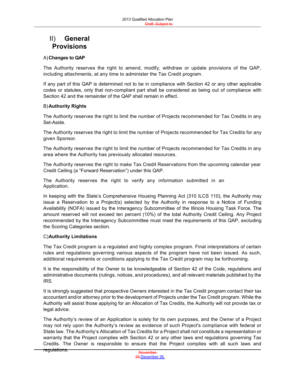## II) **General Provisions**

#### A)**Changes to QAP**

The Authority reserves the right to amend, modify, withdraw or update provisions of the QAP, including attachments, at any time to administer the Tax Credit program.

If any part of this QAP is determined not to be in compliance with Section 42 or any other applicable codes or statutes, only that non-compliant part shall be considered as being out of compliance with Section 42 and the remainder of the QAP shall remain in effect.

#### B)**Authority Rights**

The Authority reserves the right to limit the number of Projects recommended for Tax Credits in any Set-Aside.

The Authority reserves the right to limit the number of Projects recommended for Tax Credits for any given Sponsor.

The Authority reserves the right to limit the number of Projects recommended for Tax Credits in any area where the Authority has previously allocated resources.

The Authority reserves the right to make Tax Credit Reservations from the upcoming calendar year Credit Ceiling (a "Forward Reservation") under this QAP.

The Authority reserves the right to verify any information submitted in an Application.

In keeping with the State's Comprehensive Housing Planning Act (310 ILCS 110), the Authority may issue a Reservation to a Project(s) selected by the Authority in response to a Notice of Funding Availability (NOFA) issued by the Interagency Subcommittee of the Illinois Housing Task Force. The amount reserved will not exceed ten percent (10%) of the total Authority Credit Ceiling. Any Project recommended by the Interagency Subcommittee must meet the requirements of this QAP, excluding the Scoring Categories section.

#### C)**Authority Limitations**

The Tax Credit program is a regulated and highly complex program. Final interpretations of certain rules and regulations governing various aspects of the program have not been issued. As such, additional requirements or conditions applying to the Tax Credit program may be forthcoming.

It is the responsibility of the Owner to be knowledgeable of Section 42 of the Code, regulations and administrative documents (rulings, notices, and procedures), and all relevant materials published by the IRS.

It is strongly suggested that prospective Owners interested in the Tax Credit program contact their tax accountant and/or attorney prior to the development of Projects under the Tax Credit program. While the Authority will assist those applying for an Allocation of Tax Credits, the Authority will not provide tax or legal advice.

The Authority's review of an Application is solely for its own purposes, and the Owner of a Project may not rely upon the Authority's review as evidence of such Project's compliance with federal or State law. The Authority's Allocation of Tax Credits for a Project shall not constitute a representation or warranty that the Project complies with Section 42 or any other laws and regulations governing Tax Credits. The Owner is responsible to ensure that the Project complies with all such laws and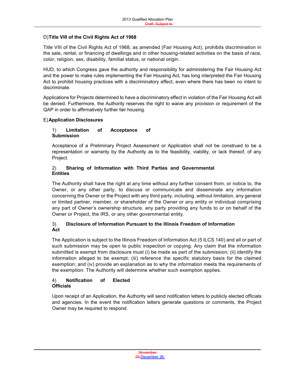#### D)**Title VIII of the Civil Rights Act of 1968**

Title VIII of the Civil Rights Act of 1968, as amended (Fair Housing Act), prohibits discrimination in the sale, rental, or financing of dwellings and in other housing-related activities on the basis of race, color, religion, sex, disability, familial status, or national origin.

Board and

HUD, to which Congress gave the authority and responsibility for administering the Fair Housing Act and the power to make rules implementing the Fair Housing Act, has long interpreted the Fair Housing Act to prohibit housing practices with a discriminatory effect, even where there has been no intent to discriminate.

Applications for Projects determined to have a discriminatory effect in violation of the Fair Housing Act will be denied. Furthermore, the Authority reserves the right to waive any provision or requirement of the QAP in order to affirmatively further fair housing.

#### E)**Application Disclosures**

#### 1) **Limitation of Acceptance of Submission**

Acceptance of a Preliminary Project Assessment or Application shall not be construed to be a representation or warranty by the Authority as to the feasibility, viability, or lack thereof, of any Project.

#### 2) **Sharing of Information with Third Parties and Governmental Entities**

The Authority shall have the right at any time without any further consent from, or notice to, the Owner, or any other party, to discuss or communicate and disseminate any information concerning the Owner or the Project with any third party, including, without limitation, any general or limited partner, member, or shareholder of the Owner or any entity or individual comprising any part of Owner's ownership structure, any party providing any funds to or on behalf of the Owner or Project, the IRS, or any other governmental entity.

#### 3) **Disclosure of Information Pursuant to the Illinois Freedom of Information Act**

The Application is subject to the Illinois Freedom of Information Act (5 ILCS 140) and all or part of such submission may be open to public inspection or copying. Any claim that the information submitted is exempt from disclosure must (i) be made as part of the submission; (ii) identify the information alleged to be exempt; (iii) reference the specific statutory basis for the claimed exemption; and (iv) provide an explanation as to why the information meets the requirements of the exemption. The Authority will determine whether such exemption applies.

#### 4) **Notification of Elected Officials**

Upon receipt of an Application, the Authority will send notification letters to publicly elected officials and agencies. In the event the notification letters generate questions or comments, the Project Owner may be required to respond.

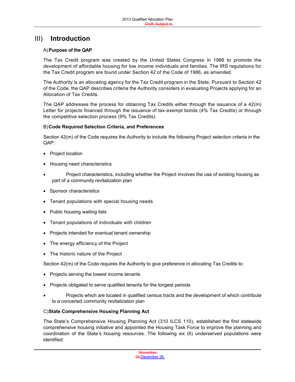### III) **Introduction**

#### A)**Purpose of the QAP**

The Tax Credit program was created by the United States Congress in 1986 to promote the development of affordable housing for low income individuals and families. The IRS regulations for the Tax Credit program are found under Section 42 of the Code of 1986, as amended.

The Authority is an allocating agency for the Tax Credit program in the State. Pursuant to Section 42 of the Code, the QAP describes criteria the Authority considers in evaluating Projects applying for an Allocation of Tax Credits.

The QAP addresses the process for obtaining Tax Credits either through the issuance of a 42(m) Letter for projects financed through the issuance of tax-exempt bonds (4% Tax Credits) or through the competitive selection process (9% Tax Credits).

#### B)**Code Required Selection Criteria, and Preferences**

Section 42(m) of the Code requires the Authority to include the following Project selection criteria in the QAP:

- Project location
- Housing need characteristics
- Project characteristics, including whether the Project involves the use of existing housing as part of a community revitalization plan
- Sponsor characteristics
- Tenant populations with special housing needs
- Public housing waiting lists
- Tenant populations of individuals with children
- Projects intended for eventual tenant ownership
- The energy efficiency of the Project
- The historic nature of the Project

Section 42(m) of the Code requires the Authority to give preference in allocating Tax Credits to:

- Projects serving the lowest income tenants
- Projects obligated to serve qualified tenants for the longest periods
- Projects which are located in qualified census tracts and the development of which contribute to a concerted community revitalization plan

#### C)**State Comprehensive Housing Planning Act**

The State's Comprehensive Housing Planning Act (310 ILCS 110), established the first statewide comprehensive housing initiative and appointed the Housing Task Force to improve the planning and coordination of the State's housing resources. The following six (6) underserved populations were identified:

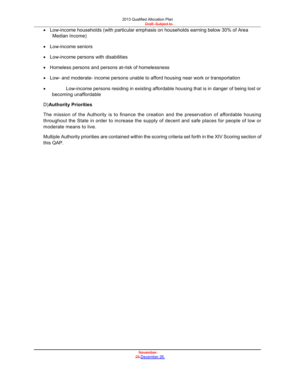- Low-income households (with particular emphasis on households earning below 30% of Area Median Income)
- Low-income seniors
- Low-income persons with disabilities
- Homeless persons and persons at-risk of homelessness
- Low- and moderate- income persons unable to afford housing near work or transportation
- Low-income persons residing in existing affordable housing that is in danger of being lost or becoming unaffordable

#### D)**Authority Priorities**

The mission of the Authority is to finance the creation and the preservation of affordable housing throughout the State in order to increase the supply of decent and safe places for people of low or moderate means to live.

Multiple Authority priorities are contained within the scoring criteria set forth in the XIV Scoring section of this QAP.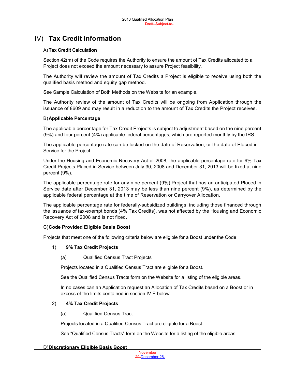## IV) **Tax Credit Information**

#### A)**Tax Credit Calculation**

Section 42(m) of the Code requires the Authority to ensure the amount of Tax Credits allocated to a Project does not exceed the amount necessary to assure Project feasibility.

The Authority will review the amount of Tax Credits a Project is eligible to receive using both the qualified basis method and equity gap method.

See Sample Calculation of Both Methods on the Website for an example.

The Authority review of the amount of Tax Credits will be ongoing from Application through the issuance of 8609 and may result in a reduction to the amount of Tax Credits the Project receives.

#### B)**Applicable Percentage**

The applicable percentage for Tax Credit Projects is subject to adjustment based on the nine percent (9%) and four percent (4%) applicable federal percentages, which are reported monthly by the IRS.

The applicable percentage rate can be locked on the date of Reservation, or the date of Placed in Service for the Project.

Under the Housing and Economic Recovery Act of 2008, the applicable percentage rate for 9% Tax Credit Projects Placed in Service between July 30, 2008 and December 31, 2013 will be fixed at nine percent (9%).

The applicable percentage rate for any nine percent (9%) Project that has an anticipated Placed in Service date after December 31, 2013 may be less than nine percent (9%), as determined by the applicable federal percentage at the time of Reservation or Carryover Allocation.

The applicable percentage rate for federally-subsidized buildings, including those financed through the issuance of tax-exempt bonds (4% Tax Credits), was not affected by the Housing and Economic Recovery Act of 2008 and is not fixed.

#### C)**Code Provided Eligible Basis Boost**

Projects that meet one of the following criteria below are eligible for a Boost under the Code:

#### 1) **9% Tax Credit Projects**

#### (a) Qualified Census Tract Projects

Projects located in a Qualified Census Tract are eligible for a Boost.

See the Qualified Census Tracts form on the Website for a listing of the eligible areas.

In no cases can an Application request an Allocation of Tax Credits based on a Boost or in excess of the limits contained in section IV E below.

#### 2) **4% Tax Credit Projects**

#### (a) Qualified Census Tract

Projects located in a Qualified Census Tract are eligible for a Boost.

See "Qualified Census Tracts" form on the Website for a listing of the eligible areas.

#### D)**Discretionary Eligible Basis Boost**

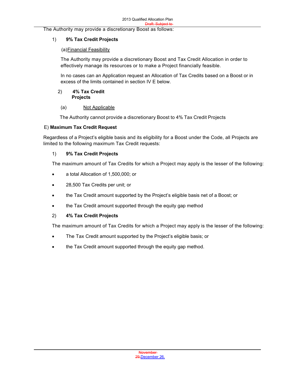The Authority may provide a discretionary Boost as follows:

#### 1) **9% Tax Credit Projects**

#### (a)Financial Feasibility

The Authority may provide a discretionary Boost and Tax Credit Allocation in order to effectively manage its resources or to make a Project financially feasible.

In no cases can an Application request an Allocation of Tax Credits based on a Boost or in excess of the limits contained in section IV E below.

#### 2) **4% Tax Credit Projects**

#### (a) Not Applicable

The Authority cannot provide a discretionary Boost to 4% Tax Credit Projects

#### E) **Maximum Tax Credit Request**

Regardless of a Project's eligible basis and its eligibility for a Boost under the Code, all Projects are limited to the following maximum Tax Credit requests:

#### 1) **9% Tax Credit Projects**

The maximum amount of Tax Credits for which a Project may apply is the lesser of the following:

- a total Allocation of 1,500,000; or
- 28,500 Tax Credits per unit; or
- the Tax Credit amount supported by the Project's eligible basis net of a Boost; or
- the Tax Credit amount supported through the equity gap method

#### 2) **4% Tax Credit Projects**

The maximum amount of Tax Credits for which a Project may apply is the lesser of the following:

- The Tax Credit amount supported by the Project's eligible basis; or
- the Tax Credit amount supported through the equity gap method.

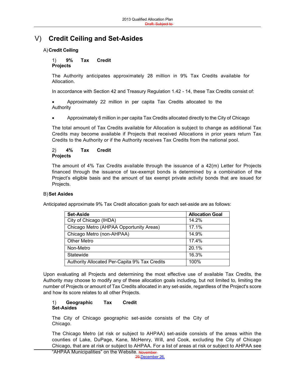## V) **Credit Ceiling and Set-Asides**

#### A)**Credit Ceiling**

#### 1) **9% Tax Credit Projects**

The Authority anticipates approximately 28 million in 9% Tax Credits available for Allocation.

In accordance with Section 42 and Treasury Regulation 1.42 - 14, these Tax Credits consist of:

 Approximately 22 million in per capita Tax Credits allocated to the Authority

Approximately 6 million in per capita Tax Credits allocated directly to the City of Chicago

The total amount of Tax Credits available for Allocation is subject to change as additional Tax Credits may become available if Projects that received Allocations in prior years return Tax Credits to the Authority or if the Authority receives Tax Credits from the national pool.

#### 2) **4% Tax Credit Projects**

The amount of 4% Tax Credits available through the issuance of a 42(m) Letter for Projects financed through the issuance of tax-exempt bonds is determined by a combination of the Project's eligible basis and the amount of tax exempt private activity bonds that are issued for Projects.

#### B)**Set Asides**

Anticipated approximate 9% Tax Credit allocation goals for each set-aside are as follows:

| <b>Set-Aside</b>                              | <b>Allocation Goal</b> |
|-----------------------------------------------|------------------------|
| City of Chicago (IHDA)                        | 14.2%                  |
| Chicago Metro (AHPAA Opportunity Areas)       | 17.1%                  |
| Chicago Metro (non-AHPAA)                     | 14.9%                  |
| <b>Other Metro</b>                            | 17.4%                  |
| Non-Metro                                     | 20.1%                  |
| Statewide                                     | 16.3%                  |
| Authority Allocated Per-Capita 9% Tax Credits | 100%                   |

Upon evaluating all Projects and determining the most effective use of available Tax Credits, the Authority may choose to modify any of these allocation goals including, but not limited to, limiting the number of Projects or amount of Tax Credits allocated in any set-aside, regardless of the Project's score and how its score relates to all other Projects.

#### 1) **Geographic Tax Credit Set-Asides**

The City of Chicago geographic set-aside consists of the City of Chicago.

The Chicago Metro (at risk or subject to AHPAA) set-aside consists of the areas within the counties of Lake, DuPage, Kane, McHenry, Will, and Cook, excluding the City of Chicago Chicago, that are at risk or subject to AHPAA. For a list of areas at risk or subject to AHPAA see

"AHPAA Municipalities" on the Website. November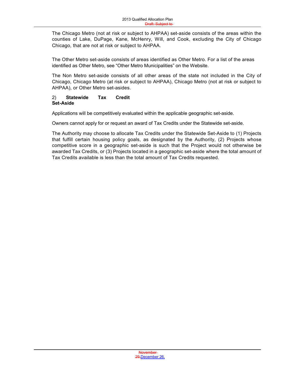Board and The Chicago Metro (not at risk or subject to AHPAA) set-aside consists of the areas within the counties of Lake, DuPage, Kane, McHenry, Will, and Cook, excluding the City of Chicago Chicago, that are not at risk or subject to AHPAA.

The Other Metro set-aside consists of areas identified as Other Metro. For a list of the areas identified as Other Metro, see "Other Metro Municipalities" on the Website.

The Non Metro set-aside consists of all other areas of the state not included in the City of Chicago, Chicago Metro (at risk or subject to AHPAA), Chicago Metro (not at risk or subject to AHPAA), or Other Metro set-asides.

#### 2) **Statewide Tax Credit Set-Aside**

Applications will be competitively evaluated within the applicable geographic set-aside.

Owners cannot apply for or request an award of Tax Credits under the Statewide set-aside.

The Authority may choose to allocate Tax Credits under the Statewide Set-Aside to (1) Projects that fulfill certain housing policy goals, as designated by the Authority, (2) Projects whose competitive score in a geographic set-aside is such that the Project would not otherwise be awarded Tax Credits, or (3) Projects located in a geographic set-aside where the total amount of Tax Credits available is less than the total amount of Tax Credits requested.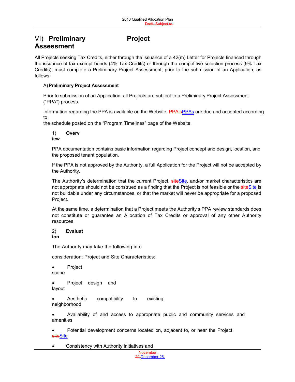## VI) **Preliminary Project Assessment**

All Projects seeking Tax Credits, either through the issuance of a 42(m) Letter for Projects financed through the issuance of tax-exempt bonds (4% Tax Credits) or through the competitive selection process (9% Tax Credits), must complete a Preliminary Project Assessment, prior to the submission of an Application, as follows:

#### A)**Preliminary Project Assessment**

Prior to submission of an Application, all Projects are subject to a Preliminary Project Assessment ("PPA") process.

Information regarding the PPA is available on the Website. PPA's PPAs are due and accepted according to

the schedule posted on the "Program Timelines" page of the Website.

1) **Overv iew**

PPA documentation contains basic information regarding Project concept and design, location, and the proposed tenant population.

If the PPA is not approved by the Authority, a full Application for the Project will not be accepted by the Authority.

The Authority's determination that the current Project, siteSite, and/or market characteristics are not appropriate should not be construed as a finding that the Project is not feasible or the siteSite is not buildable under any circumstances, or that the market will never be appropriate for a proposed Project.

At the same time, a determination that a Project meets the Authority's PPA review standards does not constitute or guarantee an Allocation of Tax Credits or approval of any other Authority resources.

#### 2) **Evaluat ion**

The Authority may take the following into

consideration: Project and Site Characteristics:

Project

scope

 Project design and layout

 Aesthetic compatibility to existing neighborhood

 Availability of and access to appropriate public and community services and amenities

 Potential development concerns located on, adjacent to, or near the Project siteSite

Consistency with Authority initiatives and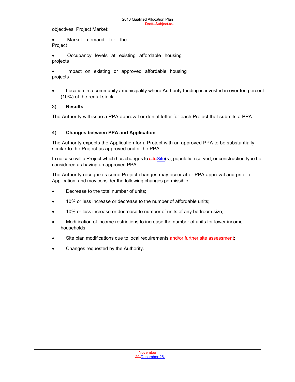objectives. Project Market:

 Market demand for the Project

 Occupancy levels at existing affordable housing projects

 Impact on existing or approved affordable housing projects

 Location in a community / municipality where Authority funding is invested in over ten percent (10%) of the rental stock

#### 3) **Results**

The Authority will issue a PPA approval or denial letter for each Project that submits a PPA.

#### 4) **Changes between PPA and Application**

The Authority expects the Application for a Project with an approved PPA to be substantially similar to the Project as approved under the PPA.

In no case will a Project which has changes to siteSite(s), population served, or construction type be considered as having an approved PPA.

The Authority recognizes some Project changes may occur after PPA approval and prior to Application, and may consider the following changes permissible:

- Decrease to the total number of units;
- 10% or less increase or decrease to the number of affordable units;
- 10% or less increase or decrease to number of units of any bedroom size;
- Modification of income restrictions to increase the number of units for lower income households;
- Site plan modifications due to local requirements and/or further site assessment;
- Changes requested by the Authority.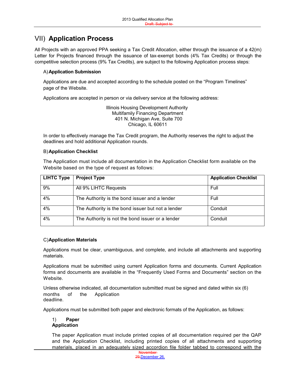## VII) **Application Process**

All Projects with an approved PPA seeking a Tax Credit Allocation, either through the issuance of a 42(m) Letter for Projects financed through the issuance of tax-exempt bonds (4% Tax Credits) or through the competitive selection process (9% Tax Credits), are subject to the following Application process steps:

#### A)**Application Submission**

Applications are due and accepted according to the schedule posted on the "Program Timelines" page of the Website.

Applications are accepted in person or via delivery service at the following address:

Illinois Housing Development Authority Multifamily Financing Department 401 N. Michigan Ave, Suite 700 Chicago, IL 60611

In order to effectively manage the Tax Credit program, the Authority reserves the right to adjust the deadlines and hold additional Application rounds.

#### B)**Application Checklist**

The Application must include all documentation in the Application Checklist form available on the Website based on the type of request as follows:

| <b>LIHTC Type</b> | <b>Project Type</b>                               | <b>Application Checklist</b> |
|-------------------|---------------------------------------------------|------------------------------|
| 9%                | All 9% LIHTC Requests                             | Full                         |
| 4%                | The Authority is the bond issuer and a lender     | Full                         |
| 4%                | The Authority is the bond issuer but not a lender | Conduit                      |
| 4%                | The Authority is not the bond issuer or a lender  | Conduit                      |

#### C)**Application Materials**

Applications must be clear, unambiguous, and complete, and include all attachments and supporting materials.

Applications must be submitted using current Application forms and documents. Current Application forms and documents are available in the "Frequently Used Forms and Documents" section on the Website.

Unless otherwise indicated, all documentation submitted must be signed and dated within six (6) months of the Application deadline.

Applications must be submitted both paper and electronic formats of the Application, as follows:

#### 1) **Paper Application**

The paper Application must include printed copies of all documentation required per the QAP and the Application Checklist, including printed copies of all attachments and supporting materials, placed in an adequately sized accordion file folder tabbed to correspond with the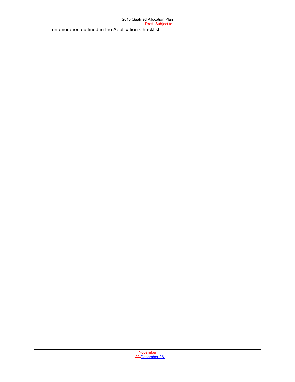enumeration outlined in the Application Checklist.

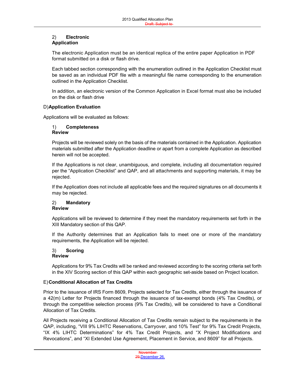#### 2) **Electronic Application**

The electronic Application must be an identical replica of the entire paper Application in PDF format submitted on a disk or flash drive.

Board and

Each tabbed section corresponding with the enumeration outlined in the Application Checklist must be saved as an individual PDF file with a meaningful file name corresponding to the enumeration outlined in the Application Checklist.

In addition, an electronic version of the Common Application in Excel format must also be included on the disk or flash drive

#### D)**Application Evaluation**

Applications will be evaluated as follows:

#### 1) **Completeness Review**

Projects will be reviewed solely on the basis of the materials contained in the Application. Application materials submitted after the Application deadline or apart from a complete Application as described herein will not be accepted.

If the Applications is not clear, unambiguous, and complete, including all documentation required per the "Application Checklist" and QAP, and all attachments and supporting materials, it may be rejected.

If the Application does not include all applicable fees and the required signatures on all documents it may be rejected.

#### 2) **Mandatory Review**

Applications will be reviewed to determine if they meet the mandatory requirements set forth in the XIII Mandatory section of this QAP.

If the Authority determines that an Application fails to meet one or more of the mandatory requirements, the Application will be rejected.

#### 3) **Scoring Review**

Applications for 9% Tax Credits will be ranked and reviewed according to the scoring criteria set forth in the XIV Scoring section of this QAP within each geographic set-aside based on Project location.

#### E)**Conditional Allocation of Tax Credits**

Prior to the issuance of IRS Form 8609, Projects selected for Tax Credits, either through the issuance of a 42(m) Letter for Projects financed through the issuance of tax-exempt bonds (4% Tax Credits), or through the competitive selection process (9% Tax Credits), will be considered to have a Conditional Allocation of Tax Credits.

All Projects receiving a Conditional Allocation of Tax Credits remain subject to the requirements in the QAP, including, "VIII 9% LIHTC Reservations, Carryover, and 10% Test" for 9% Tax Credit Projects, "IX 4% LIHTC Determinations" for 4% Tax Credit Projects, and "X Project Modifications and Revocations", and "XI Extended Use Agreement, Placement in Service, and 8609" for all Projects.

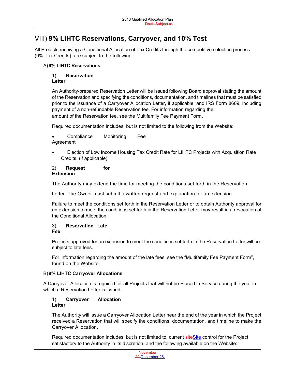## VIII) **9% LIHTC Reservations, Carryover, and 10% Test**

All Projects receiving a Conditional Allocation of Tax Credits through the competitive selection process (9% Tax Credits), are subject to the following:

#### A)**9% LIHTC Reservations**

### 1) **Reservation**

#### **Letter**

An Authority-prepared Reservation Letter will be issued following Board approval stating the amount of the Reservation and specifying the conditions, documentation, and timelines that must be satisfied prior to the issuance of a Carryover Allocation Letter, if applicable, and IRS Form 8609, including payment of a non-refundable Reservation fee. For information regarding the amount of the Reservation fee, see the Multifamily Fee Payment Form.

Required documentation includes, but is not limited to the following from the Website:

- Compliance Monitoring Fee Agreement
- Election of Low Income Housing Tax Credit Rate for LIHTC Projects with Acquisition Rate Credits. (if applicable)

#### 2) **Request for Extension**

The Authority may extend the time for meeting the conditions set forth in the Reservation

Letter. The Owner must submit a written request and explanation for an extension.

Failure to meet the conditions set forth in the Reservation Letter or to obtain Authority approval for an extension to meet the conditions set forth in the Reservation Letter may result in a revocation of the Conditional Allocation.

#### 3) **Reservation Late Fee**

Projects approved for an extension to meet the conditions set forth in the Reservation Letter will be subject to late fees.

For information regarding the amount of the late fees, see the "Multifamily Fee Payment Form", found on the Website.

#### B)**9% LIHTC Carryover Allocations**

A Carryover Allocation is required for all Projects that will not be Placed in Service during the year in which a Reservation Letter is issued.

#### 1) **Carryover Allocation Letter**

The Authority will issue a Carryover Allocation Letter near the end of the year in which the Project received a Reservation that will specify the conditions, documentation, and timeline to make the Carryover Allocation.

Required documentation includes, but is not limited to, current siteSite control for the Project satisfactory to the Authority in its discretion, and the following available on the Website:

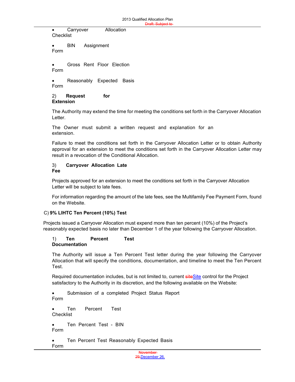Carryover Allocation **Checklist** 

 BIN Assignment Form

 Gross Rent Floor Election Form

• Reasonably Expected Basis Form

2) **Request for Extension**

The Authority may extend the time for meeting the conditions set forth in the Carryover Allocation Letter.

The Owner must submit a written request and explanation for an extension.

Failure to meet the conditions set forth in the Carryover Allocation Letter or to obtain Authority approval for an extension to meet the conditions set forth in the Carryover Allocation Letter may result in a revocation of the Conditional Allocation.

#### 3) **Carryover Allocation Late Fee**

Projects approved for an extension to meet the conditions set forth in the Carryover Allocation Letter will be subject to late fees.

For information regarding the amount of the late fees, see the Multifamily Fee Payment Form, found on the Website.

#### C) **9% LIHTC Ten Percent (10%) Test**

Projects issued a Carryover Allocation must expend more than ten percent (10%) of the Project's reasonably expected basis no later than December 1 of the year following the Carryover Allocation.

#### 1) **Ten Percent Test Documentation**

The Authority will issue a Ten Percent Test letter during the year following the Carryover Allocation that will specify the conditions, documentation, and timeline to meet the Ten Percent Test.

Required documentation includes, but is not limited to, current siteSite control for the Project satisfactory to the Authority in its discretion, and the following available on the Website:

 Submission of a completed Project Status Report Form

 Ten Percent Test Checklist

 Ten Percent Test - BIN Form

• Ten Percent Test Reasonably Expected Basis Form

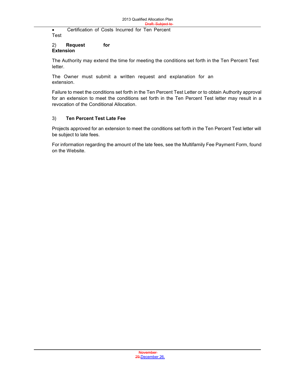**Certification of Costs Incurred for Ten Percent** Test

#### 2) **Request for Extension**

The Authority may extend the time for meeting the conditions set forth in the Ten Percent Test letter.

The Owner must submit a written request and explanation for an extension.

Failure to meet the conditions set forth in the Ten Percent Test Letter or to obtain Authority approval for an extension to meet the conditions set forth in the Ten Percent Test letter may result in a revocation of the Conditional Allocation.

#### 3) **Ten Percent Test Late Fee**

Projects approved for an extension to meet the conditions set forth in the Ten Percent Test letter will be subject to late fees.

For information regarding the amount of the late fees, see the Multifamily Fee Payment Form, found on the Website.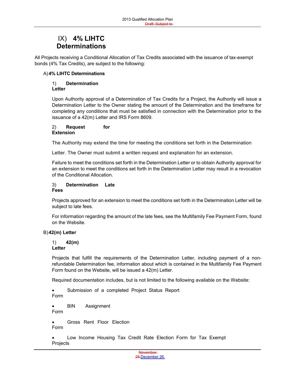## IX) **4% LIHTC Determinations**

All Projects receiving a Conditional Allocation of Tax Credits associated with the issuance of tax-exempt bonds (4% Tax Credits), are subject to the following:

#### A)**4% LIHTC Determinations**

#### 1) **Determination Letter**

Upon Authority approval of a Determination of Tax Credits for a Project, the Authority will issue a Determination Letter to the Owner stating the amount of the Determination and the timeframe for completing any conditions that must be satisfied in connection with the Determination prior to the issuance of a 42(m) Letter and IRS Form 8609.

#### 2) **Request for Extension**

The Authority may extend the time for meeting the conditions set forth in the Determination

Letter. The Owner must submit a written request and explanation for an extension.

Failure to meet the conditions set forth in the Determination Letter or to obtain Authority approval for an extension to meet the conditions set forth in the Determination Letter may result in a revocation of the Conditional Allocation.

#### 3) **Determination Late Fees**

Projects approved for an extension to meet the conditions set forth in the Determination Letter will be subject to late fees.

For information regarding the amount of the late fees, see the Multifamily Fee Payment Form, found on the Website.

#### B)**42(m) Letter**

### 1) **42(m)**

#### **Letter**

Projects that fulfill the requirements of the Determination Letter, including payment of a nonrefundable Determination fee, information about which is contained in the Multifamily Fee Payment Form found on the Website, will be issued a 42(m) Letter.

Required documentation includes, but is not limited to the following available on the Website:

 Submission of a completed Project Status Report Form

 BIN Assignment Form

 Gross Rent Floor Election Form

 Low Income Housing Tax Credit Rate Election Form for Tax Exempt Projects

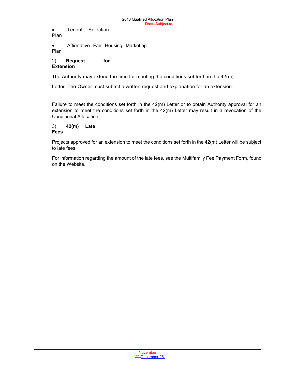Tenant Selection

Plan

 Affirmative Fair Housing Marketing Plan

#### 2) **Request for Extension**

The Authority may extend the time for meeting the conditions set forth in the  $42(m)$ 

Letter. The Owner must submit a written request and explanation for an extension.

Failure to meet the conditions set forth in the 42(m) Letter or to obtain Authority approval for an extension to meet the conditions set forth in the 42(m) Letter may result in a revocation of the Conditional Allocation.

#### 3) **42(m) Late Fees**

Projects approved for an extension to meet the conditions set forth in the 42(m) Letter will be subject to late fees.

For information regarding the amount of the late fees, see the Multifamily Fee Payment Form, found on the Website.

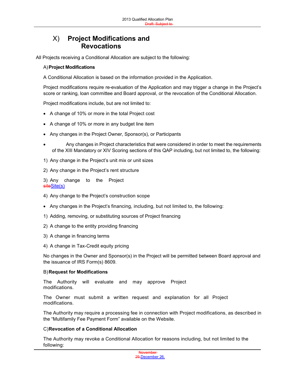## X) **Project Modifications and Revocations**

All Projects receiving a Conditional Allocation are subject to the following:

#### A)**Project Modifications**

A Conditional Allocation is based on the information provided in the Application.

Project modifications require re-evaluation of the Application and may trigger a change in the Project's score or ranking, loan committee and Board approval, or the revocation of the Conditional Allocation.

Project modifications include, but are not limited to:

- A change of 10% or more in the total Project cost
- A change of 10% or more in any budget line item
- Any changes in the Project Owner, Sponsor(s), or Participants
- Any changes in Project characteristics that were considered in order to meet the requirements of the XIII Mandatory or XIV Scoring sections of this QAP including, but not limited to, the following:
- 1) Any change in the Project's unit mix or unit sizes
- 2) Any change in the Project's rent structure

3) Any change to the Project siteSite(s)

- 4) Any change to the Project's construction scope
- Any changes in the Project's financing, including, but not limited to, the following:
- 1) Adding, removing, or substituting sources of Project financing
- 2) A change to the entity providing financing
- 3) A change in financing terms
- 4) A change in Tax-Credit equity pricing

No changes in the Owner and Sponsor(s) in the Project will be permitted between Board approval and the issuance of IRS Form(s) 8609.

#### B)**Request for Modifications**

The Authority will evaluate and may approve Project modifications.

The Owner must submit a written request and explanation for all Project modifications.

The Authority may require a processing fee in connection with Project modifications, as described in the "Multifamily Fee Payment Form" available on the Website.

#### C)**Revocation of a Conditional Allocation**

The Authority may revoke a Conditional Allocation for reasons including, but not limited to the following:

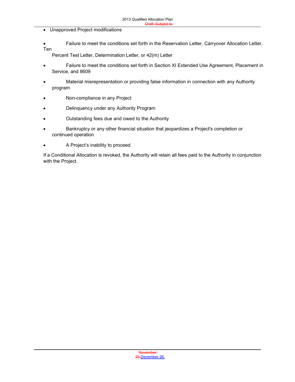- Unapproved Project modifications
- Failure to meet the conditions set forth in the Reservation Letter, Carryover Allocation Letter, Ten

- Percent Test Letter, Determination Letter, or 42(m) Letter
- Failure to meet the conditions set forth in Section XI Extended Use Agreement, Placement in Service, and 8609
- Material misrepresentation or providing false information in connection with any Authority program
- Non-compliance in any Project
- Delinquency under any Authority Program
- Outstanding fees due and owed to the Authority
- Bankruptcy or any other financial situation that jeopardizes a Project's completion or continued operation
- A Project's inability to proceed

If a Conditional Allocation is revoked, the Authority will retain all fees paid to the Authority in conjunction with the Project.

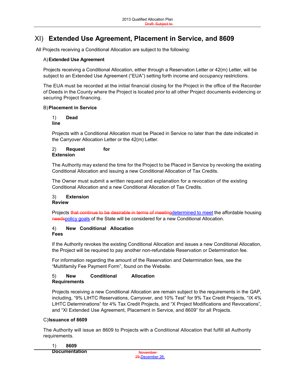## XI) **Extended Use Agreement, Placement in Service, and 8609**

All Projects receiving a Conditional Allocation are subject to the following:

#### A)**Extended Use Agreement**

Projects receiving a Conditional Allocation, either through a Reservation Letter or 42(m) Letter, will be subject to an Extended Use Agreement ("EUA") setting forth income and occupancy restrictions.

The EUA must be recorded at the initial financial closing for the Project in the office of the Recorder of Deeds in the County where the Project is located prior to all other Project documents evidencing or securing Project financing.

#### B)**Placement in Service**

#### 1) **Dead line**

Projects with a Conditional Allocation must be Placed in Service no later than the date indicated in the Carryover Allocation Letter or the 42(m) Letter.

#### 2) **Request for Extension**

The Authority may extend the time for the Project to be Placed in Service by revoking the existing Conditional Allocation and issuing a new Conditional Allocation of Tax Credits.

The Owner must submit a written request and explanation for a revocation of the existing Conditional Allocation and a new Conditional Allocation of Tax Credits.

## 3) **Extension**

**Review**

Projects that continue to be desirable in terms of meetingdetermined to meet the affordable housing needspolicy goals of the State will be considered for a new Conditional Allocation.

#### 4) **New Conditional Allocation Fees**

If the Authority revokes the existing Conditional Allocation and issues a new Conditional Allocation, the Project will be required to pay another non-refundable Reservation or Determination fee.

For information regarding the amount of the Reservation and Determination fees, see the "Multifamily Fee Payment Form", found on the Website.

#### 5) **New Conditional Allocation Requirements**

Projects receiving a new Conditional Allocation are remain subject to the requirements in the QAP, including, "9% LIHTC Reservations, Carryover, and 10% Test" for 9% Tax Credit Projects, "IX 4% LIHTC Determinations" for 4% Tax Credit Projects, and "X Project Modifications and Revocations", and "XI Extended Use Agreement, Placement in Service, and 8609" for all Projects.

#### C)**Issuance of 8609**

The Authority will issue an 8609 to Projects with a Conditional Allocation that fulfill all Authority requirements.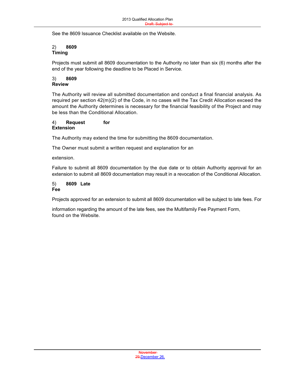See the 8609 Issuance Checklist available on the Website.

#### 2) **8609 Timing**

Projects must submit all 8609 documentation to the Authority no later than six (6) months after the end of the year following the deadline to be Placed in Service.

Board and

#### 3) **8609 Review**

The Authority will review all submitted documentation and conduct a final financial analysis. As required per section 42(m)(2) of the Code, in no cases will the Tax Credit Allocation exceed the amount the Authority determines is necessary for the financial feasibility of the Project and may be less than the Conditional Allocation.

#### 4) **Request for Extension**

The Authority may extend the time for submitting the 8609 documentation.

The Owner must submit a written request and explanation for an

extension.

Failure to submit all 8609 documentation by the due date or to obtain Authority approval for an extension to submit all 8609 documentation may result in a revocation of the Conditional Allocation.

#### 5) **8609 Late Fee**

Projects approved for an extension to submit all 8609 documentation will be subject to late fees. For

information regarding the amount of the late fees, see the Multifamily Fee Payment Form, found on the Website.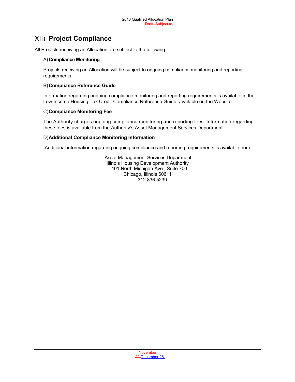## XII) **Project Compliance**

All Projects receiving an Allocation are subject to the following:

#### A)**Compliance Monitoring**

Projects receiving an Allocation will be subject to ongoing compliance monitoring and reporting requirements.

#### B)**Compliance Reference Guide**

Information regarding ongoing compliance monitoring and reporting requirements is available in the Low Income Housing Tax Credit Compliance Reference Guide, available on the Website.

#### C)**Compliance Monitoring Fee**

The Authority charges ongoing compliance monitoring and reporting fees. Information regarding these fees is available from the Authority's Asset Management Services Department.

#### D)**Additional Compliance Monitoring Information**

Additional information regarding ongoing compliance and reporting requirements is available from:

Asset Management Services Department Illinois Housing Development Authority 401 North Michigan Ave., Suite 700 Chicago, Illinois 60611 312.836.5239

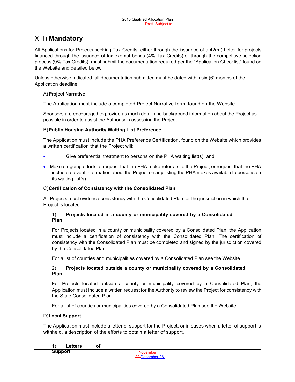## XIII) **Mandatory**

All Applications for Projects seeking Tax Credits, either through the issuance of a 42(m) Letter for projects financed through the issuance of tax-exempt bonds (4% Tax Credits) or through the competitive selection process (9% Tax Credits), must submit the documentation required per the "Application Checklist" found on the Website and detailed below.

Unless otherwise indicated, all documentation submitted must be dated within six (6) months of the Application deadline.

#### A)**Project Narrative**

The Application must include a completed Project Narrative form, found on the Website.

Sponsors are encouraged to provide as much detail and background information about the Project as possible in order to assist the Authority in assessing the Project.

#### B)**Public Housing Authority Waiting List Preference**

The Application must include the PHA Preference Certification, found on the Website which provides a written certification that the Project will:

- Give preferential treatment to persons on the PHA waiting list(s); and
- Make on-going efforts to request that the PHA make referrals to the Project, or request that the PHA include relevant information about the Project on any listing the PHA makes available to persons on its waiting list(s).

#### C)**Certification of Consistency with the Consolidated Plan**

All Projects must evidence consistency with the Consolidated Plan for the jurisdiction in which the Project is located.

#### 1) **Projects located in a county or municipality covered by a Consolidated Plan**

For Projects located in a county or municipality covered by a Consolidated Plan, the Application must include a certification of consistency with the Consolidated Plan. The certification of consistency with the Consolidated Plan must be completed and signed by the jurisdiction covered by the Consolidated Plan.

For a list of counties and municipalities covered by a Consolidated Plan see the Website.

#### 2) **Projects located outside a county or municipality covered by a Consolidated Plan**

For Projects located outside a county or municipality covered by a Consolidated Plan, the Application must include a written request for the Authority to review the Project for consistency with the State Consolidated Plan.

For a list of counties or municipalities covered by a Consolidated Plan see the Website.

#### D)**Local Support**

The Application must include a letter of support for the Project, or in cases when a letter of support is withheld, a description of the efforts to obtain a letter of support.

#### 1) **Letters of**

**Support**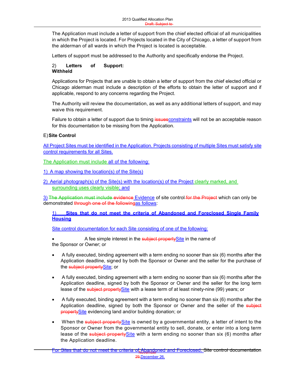The Application must include a letter of support from the chief elected official of all municipalities in which the Project is located. For Projects located in the City of Chicago, a letter of support from the alderman of all wards in which the Project is located is acceptable.

Board and

Letters of support must be addressed to the Authority and specifically endorse the Project.

#### 2) **Letters of Support: Withheld**

Applications for Projects that are unable to obtain a letter of support from the chief elected official or Chicago alderman must include a description of the efforts to obtain the letter of support and if applicable, respond to any concerns regarding the Project.

The Authority will review the documentation, as well as any additional letters of support, and may waive this requirement.

Failure to obtain a letter of support due to timing issuesconstraints will not be an acceptable reason for this documentation to be missing from the Application.

#### E)**Site Control**

All Project Sites must be identified in the Application. Projects consisting of multiple Sites must satisfy site control requirements for all Sites.

The Application must include all of the following:

1) A map showing the location(s) of the Site(s)

2) Aerial photograph(s) of the Site(s) with the location(s) of the Project clearly marked, and surrounding uses clearly visible; and

3) The Application must include evidence Evidence of site control for the Project which can only be demonstrated through one of the followingas follows:

#### 1) **Sites that do not meet the criteria of Abandoned and Foreclosed Single Family Housing**

Site control documentation for each Site consisting of one of the following:

A fee simple interest in the subject property Site in the name of the Sponsor or Owner; or

- A fully executed, binding agreement with a term ending no sooner than six (6) months after the Application deadline, signed by both the Sponsor or Owner and the seller for the purchase of the subject propertySite; or
- A fully executed, binding agreement with a term ending no sooner than six (6) months after the Application deadline, signed by both the Sponsor or Owner and the seller for the long term lease of the subject propertySite with a lease term of at least ninety-nine (99) years; or
- A fully executed, binding agreement with a term ending no sooner than six (6) months after the Application deadline, signed by both the Sponsor or Owner and the seller of the subject propertySite evidencing land and/or building donation; or
- When the subject property Site is owned by a governmental entity, a letter of intent to the Sponsor or Owner from the governmental entity to sell, donate, or enter into a long term lease of the subject propertySite with a term ending no sooner than six (6) months after the Application deadline.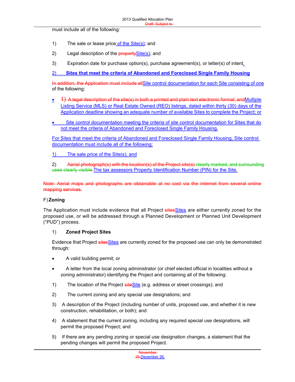must include all of the following:

- 1) The sale or lease price of the  $\text{Site}(s)$ ; and
- 2) Legal description of the **propertySite(s)**; and
- 3) Expiration date for purchase option(s), purchase agreement(s), or letter(s) of intent.

2) **Sites that meet the criteria of Abandoned and Foreclosed Single Family Housing**

In addition, the Application must include all Site control documentation for each Site consisting of one of the following:

Board and

- $\bullet$  4) A legal description of the site(s) in both a printed and plain text electronic format; and Multiple Listing Service (MLS) or Real Estate Owned (REO) listings, dated within thirty (30) days of the Application deadline showing an adequate number of available Sites to complete the Project; or
- Site control documentation meeting the criteria of site control documentation for Sites that do not meet the criteria of Abandoned and Foreclosed Single Family Housing.

For Sites that meet the criteria of Abandoned and Foreclosed Single Family Housing, Site control documentation must include all of the following:

1) The sale price of the Site(s); and

2) Aerial photograph(s) with the location(s) of the Project site(s) clearly marked, and surrounding uses clearly visible.The tax assessors Property Identification Number (PIN) for the Site.

Note: Aerial maps and photographs are obtainable at no cost via the internet from several online mapping services.

#### F) **Zoning**

The Application must include evidence that all Project sites Sites are either currently zoned for the proposed use, or will be addressed through a Planned Development or Planned Unit Development ("PUD") process.

#### 1) **Zoned Project Sites**

Evidence that Project sitesSites are currently zoned for the proposed use can only be demonstrated through:

- A valid building permit; or
- A letter from the local zoning administrator (or chief elected official in localities without a zoning administrator) identifying the Project and containing all of the following:
- 1) The location of the Project  $siteSite$  (e.g. address or street crossings); and
- 2) The current zoning and any special use designations; and
- 3) A description of the Project (including number of units, proposed use, and whether it is new construction, rehabilitation, or both); and
- 4) A statement that the current zoning, including any required special use designations, will permit the proposed Project; and
- 5) If there are any pending zoning or special use designation changes, a statement that the pending changes will permit the proposed Project.

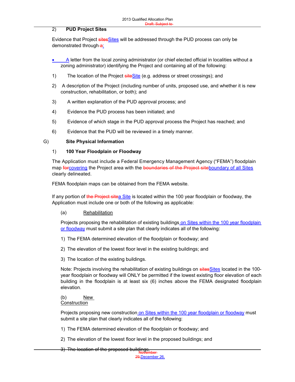#### 2) **PUD Project Sites**

Evidence that Project sitesSites will be addressed through the PUD process can only be demonstrated through-a:

- **A** letter from the local zoning administrator (or chief elected official in localities without a zoning administrator) identifying the Project and containing all of the following:
- 1) The location of the Project  $siteSize$  (e.g. address or street crossings); and
- 2) A description of the Project (including number of units, proposed use, and whether it is new construction, rehabilitation, or both); and
- 3) A written explanation of the PUD approval process; and
- 4) Evidence the PUD process has been initiated; and
- 5) Evidence of which stage in the PUD approval process the Project has reached; and
- 6) Evidence that the PUD will be reviewed in a timely manner.

#### G) **Site Physical Information**

#### 1) **100 Year Floodplain or Floodway**

The Application must include a Federal Emergency Management Agency ("FEMA") floodplain map forcovering the Project area with the boundaries of the Project siteboundary of all Sites clearly delineated.

FEMA floodplain maps can be obtained from the FEMA website.

If any portion of the Project sitea Site is located within the 100 year floodplain or floodway, the Application must include one or both of the following as applicable:

#### (a) Rehabilitation

Projects proposing the rehabilitation of existing buildings on Sites within the 100 year floodplain or floodway must submit a site plan that clearly indicates all of the following:

- 1) The FEMA determined elevation of the floodplain or floodway; and
- 2) The elevation of the lowest floor level in the existing buildings; and
- 3) The location of the existing buildings.

Note: Projects involving the rehabilitation of existing buildings on sites Sites located in the 100year floodplain or floodway will ONLY be permitted if the lowest existing floor elevation of each building in the floodplain is at least six (6) inches above the FEMA designated floodplain elevation.

#### (b) New **Construction**

Projects proposing new construction on Sites within the 100 year floodplain or floodway must submit a site plan that clearly indicates all of the following:

- 1) The FEMA determined elevation of the floodplain or floodway; and
- 2) The elevation of the lowest floor level in the proposed buildings; and
- 3) The location of the proposed buildings.<br>November

29,December 26,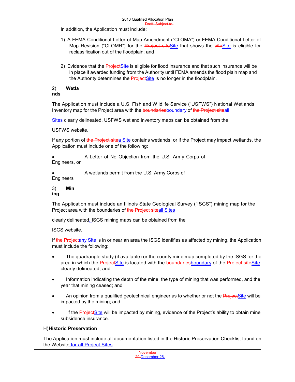In addition, the Application must include:

1) A FEMA Conditional Letter of Map Amendment ("CLOMA") or FEMA Conditional Letter of Map Revision ("CLOMR") for the **Project siteSite** that shows the siteSite is eligible for reclassification out of the floodplain; and

Board and

2) Evidence that the **Project Site** is eligible for flood insurance and that such insurance will be in place if awarded funding from the Authority until FEMA amends the flood plain map and the Authority determines the Project Site is no longer in the floodplain.

#### 2) **Wetla**

**nds**

The Application must include a U.S. Fish and Wildlife Service ("USFWS") National Wetlands Inventory map for the Project area with the boundaries boundary of the Project siteall

Sites clearly delineated. USFWS wetland inventory maps can be obtained from the

USFWS website.

If any portion of the Project sitea Site contains wetlands, or if the Project may impact wetlands, the Application must include one of the following:

 A Letter of No Objection from the U.S. Army Corps of Engineers, or

A wetlands permit from the U.S. Army Corps of

Engineers

3) **Min ing**

The Application must include an Illinois State Geological Survey ("ISGS") mining map for the Project area with the boundaries of the Project siteall Sites

clearly delineated. ISGS mining maps can be obtained from the

ISGS website.

If the Projectany Site is in or near an area the ISGS identifies as affected by mining, the Application must include the following:

- The quadrangle study (if available) or the county mine map completed by the ISGS for the area in which the ProjectSite is located with the boundariesboundary of the Project siteSite clearly delineated; and
- Information indicating the depth of the mine, the type of mining that was performed, and the year that mining ceased; and
- An opinion from a qualified geotechnical engineer as to whether or not the **ProjectSite** will be impacted by the mining; and
- If the Project Site will be impacted by mining, evidence of the Project's ability to obtain mine subsidence insurance.

#### H)**Historic Preservation**

The Application must include all documentation listed in the Historic Preservation Checklist found on the Website for all Project Sites.

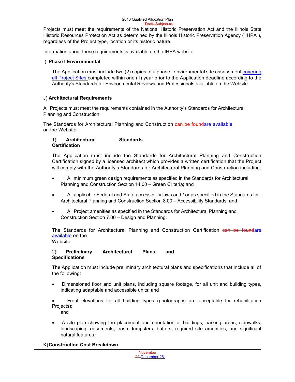Projects must meet the requirements of the National Historic Preservation Act and the Illinois State Historic Resources Protection Act as determined by the Illinois Historic Preservation Agency ("IHPA"), regardless of the Project type, location or its historic nature.

Information about these requirements is available on the IHPA website.

#### I) **Phase I Environmental**

The Application must include two (2) copies of a phase I environmental site assessment covering all Project Sites completed within one (1) year prior to the Application deadline according to the Authority's Standards for Environmental Reviews and Professionals available on the Website.

#### J) **Architectural Requirements**

All Projects must meet the requirements contained in the Authority's Standards for Architectural Planning and Construction.

The Standards for Architectural Planning and Construction can be foundare available on the Website.

#### 1) **Architectural Standards Certification**

The Application must include the Standards for Architectural Planning and Construction Certification signed by a licensed architect which provides a written certification that the Project will comply with the Authority's Standards for Architectural Planning and Construction including:

- All minimum green design requirements as specified in the Standards for Architectural Planning and Construction Section 14.00 – Green Criteria; and
- All applicable Federal and State accessibility laws and / or as specified in the Standards for Architectural Planning and Construction Section 8.00 – Accessibility Standards; and
- All Project amenities as specified in the Standards for Architectural Planning and Construction Section 7.00 – Design and Planning.

The Standards for Architectural Planning and Construction Certification can be foundare available on the Website.

#### 2) **Preliminary Architectural Plans and Specifications**

The Application must include preliminary architectural plans and specifications that include all of the following:

 Dimensioned floor and unit plans, including square footage, for all unit and building types, indicating adaptable and accessible units; and

 Front elevations for all building types (photographs are acceptable for rehabilitation Projects); and

 A site plan showing the placement and orientation of buildings, parking areas, sidewalks, landscaping, easements, trash dumpsters, buffers, required site amenities, and significant natural features.

#### K)**Construction Cost Breakdown**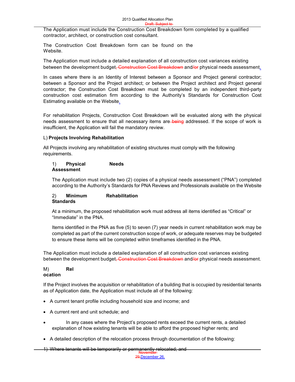The Application must include the Construction Cost Breakdown form completed by a qualified contractor, architect, or construction cost consultant.

The Construction Cost Breakdown form can be found on the Website.

The Application must include a detailed explanation of all construction cost variances existing between the development budget, Construction Cost Breakdown and/or physical needs assessment.

In cases where there is an Identity of Interest between a Sponsor and Project general contractor; between a Sponsor and the Project architect; or between the Project architect and Project general contractor; the Construction Cost Breakdown must be completed by an independent third-party construction cost estimation firm according to the Authority's Standards for Construction Cost Estimating available on the Website.

For rehabilitation Projects, Construction Cost Breakdown will be evaluated along with the physical needs assessment to ensure that all necessary items are being addressed. If the scope of work is insufficient, the Application will fail the mandatory review.

#### L) **Projects Involving Rehabilitation**

All Projects involving any rehabilitation of existing structures must comply with the following requirements.

#### 1) **Physical Needs Assessment**

The Application must include two (2) copies of a physical needs assessment ("PNA") completed according to the Authority's Standards for PNA Reviews and Professionals available on the Website

#### 2) **Minimum Rehabilitation Standards**

At a minimum, the proposed rehabilitation work must address all items identified as "Critical" or "Immediate" in the PNA.

Items identified in the PNA as five (5) to seven (7) year needs in current rehabilitation work may be completed as part of the current construction scope of work, or adequate reserves may be budgeted to ensure these items will be completed within timeframes identified in the PNA.

The Application must include a detailed explanation of all construction cost variances existing between the development budget<del>, Construction Cost Breakdown</del> and/or physical needs assessment.

#### M) **Rel ocation**

If the Project involves the acquisition or rehabilitation of a building that is occupied by residential tenants as of Application date, the Application must include all of the following:

- A current tenant profile including household size and income; and
- A current rent and unit schedule; and
- In any cases where the Project's proposed rents exceed the current rents, a detailed explanation of how existing tenants will be able to afford the proposed higher rents; and
- A detailed description of the relocation process through documentation of the following:

November 1) Where tenants will be temporarily or permanently relocated; and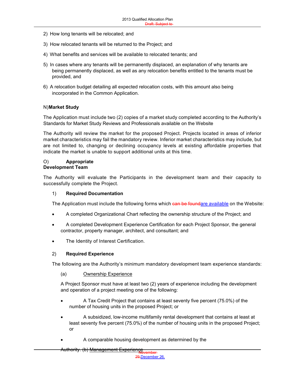- 2) How long tenants will be relocated; and
- 3) How relocated tenants will be returned to the Project; and
- 4) What benefits and services will be available to relocated tenants; and
- 5) In cases where any tenants will be permanently displaced, an explanation of why tenants are being permanently displaced, as well as any relocation benefits entitled to the tenants must be provided, and
- 6) A relocation budget detailing all expected relocation costs, with this amount also being incorporated in the Common Application.

#### N)**Market Study**

The Application must include two (2) copies of a market study completed according to the Authority's Standards for Market Study Reviews and Professionals available on the Website

The Authority will review the market for the proposed Project. Projects located in areas of inferior market characteristics may fail the mandatory review. Inferior market characteristics may include, but are not limited to, changing or declining occupancy levels at existing affordable properties that indicate the market is unable to support additional units at this time.

#### O) **Appropriate Development Team**

The Authority will evaluate the Participants in the development team and their capacity to successfully complete the Project.

#### 1) **Required Documentation**

The Application must include the following forms which can be foundare available on the Website:

- A completed Organizational Chart reflecting the ownership structure of the Project; and
- A completed Development Experience Certification for each Project Sponsor, the general contractor, property manager, architect, and consultant; and
- The Identity of Interest Certification.

#### 2) **Required Experience**

The following are the Authority's minimum mandatory development team experience standards:

#### (a) Ownership Experience

A Project Sponsor must have at least two (2) years of experience including the development and operation of a project meeting one of the following:

- A Tax Credit Project that contains at least seventy five percent (75.0%) of the number of housing units in the proposed Project; or
- A subsidized, low-income multifamily rental development that contains at least at least seventy five percent (75.0%) of the number of housing units in the proposed Project; or
- A comparable housing development as determined by the

Authority. (b) <u>Management Experience</u><br>Hovember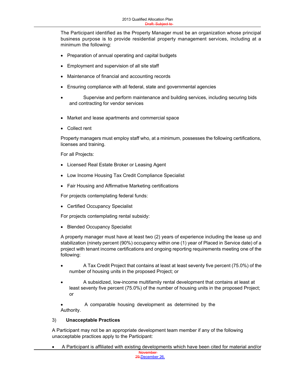Board and The Participant identified as the Property Manager must be an organization whose principal business purpose is to provide residential property management services, including at a minimum the following:

- Preparation of annual operating and capital budgets
- Employment and supervision of all site staff
- Maintenance of financial and accounting records
- Ensuring compliance with all federal, state and governmental agencies
- Supervise and perform maintenance and building services, including securing bids and contracting for vendor services
- Market and lease apartments and commercial space
- Collect rent

Property managers must employ staff who, at a minimum, possesses the following certifications, licenses and training.

For all Projects:

- Licensed Real Estate Broker or Leasing Agent
- Low Income Housing Tax Credit Compliance Specialist
- Fair Housing and Affirmative Marketing certifications

For projects contemplating federal funds:

• Certified Occupancy Specialist

For projects contemplating rental subsidy:

• Blended Occupancy Specialist

A property manager must have at least two (2) years of experience including the lease up and stabilization (ninety percent (90%) occupancy within one (1) year of Placed in Service date) of a project with tenant income certifications and ongoing reporting requirements meeting one of the following:

- A Tax Credit Project that contains at least at least seventy five percent (75.0%) of the number of housing units in the proposed Project; or
- A subsidized, low-income multifamily rental development that contains at least at least seventy five percent (75.0%) of the number of housing units in the proposed Project; or

 A comparable housing development as determined by the Authority.

#### 3) **Unacceptable Practices**

A Participant may not be an appropriate development team member if any of the following unacceptable practices apply to the Participant:

A Participant is affiliated with existing developments which have been cited for material and/or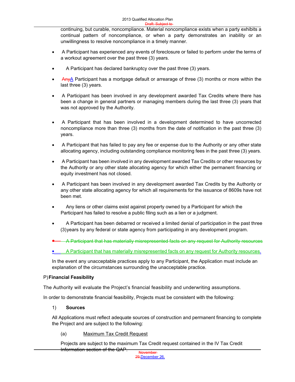continuing, but curable, noncompliance. Material noncompliance exists when a party exhibits a continual pattern of noncompliance, or when a party demonstrates an inability or an unwillingness to resolve noncompliance in a timely manner.

- A Participant has experienced any events of foreclosure or failed to perform under the terms of a workout agreement over the past three (3) years.
- A Participant has declared bankruptcy over the past three (3) years.
- Any A Participant has a mortgage default or arrearage of three (3) months or more within the last three (3) years.
- A Participant has been involved in any development awarded Tax Credits where there has been a change in general partners or managing members during the last three (3) years that was not approved by the Authority.
- A Participant that has been involved in a development determined to have uncorrected noncompliance more than three (3) months from the date of notification in the past three (3) years.
- A Participant that has failed to pay any fee or expense due to the Authority or any other state allocating agency, including outstanding compliance monitoring fees in the past three (3) years.
- A Participant has been involved in any development awarded Tax Credits or other resources by the Authority or any other state allocating agency for which either the permanent financing or equity investment has not closed.
- A Participant has been involved in any development awarded Tax Credits by the Authority or any other state allocating agency for which all requirements for the issuance of 8609s have not been met.
- Any liens or other claims exist against property owned by a Participant for which the Participant has failed to resolve a public filing such as a lien or a judgment.
- A Participant has been debarred or received a limited denial of participation in the past three (3)years by any federal or state agency from participating in any development program.
- A Participant that has materially misrepresented facts on any request for Authority resources

**A Participant that has materially misrepresented facts on any request for Authority resources.** 

In the event any unacceptable practices apply to any Participant, the Application must include an explanation of the circumstances surrounding the unacceptable practice.

#### P)**Financial Feasibility**

The Authority will evaluate the Project's financial feasibility and underwriting assumptions.

In order to demonstrate financial feasibility, Projects must be consistent with the following:

1) **Sources**

All Applications must reflect adequate sources of construction and permanent financing to complete the Project and are subject to the following:

(a) Maximum Tax Credit Request

Projects are subject to the maximum Tax Credit request contained in the IV Tax Credit Information section of the QAP.

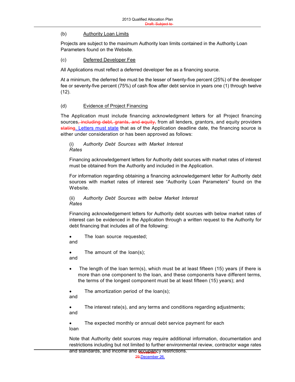#### (b) Authority Loan Limits

Projects are subject to the maximum Authority loan limits contained in the Authority Loan Parameters found on the Website.

Board and

#### (c) Deferred Developer Fee

All Applications must reflect a deferred developer fee as a financing source.

At a minimum, the deferred fee must be the lesser of twenty-five percent (25%) of the developer fee or seventy-five percent (75%) of cash flow after debt service in years one (1) through twelve (12).

#### (d) Evidence of Project Financing

The Application must include financing acknowledgment letters for all Project financing sources<del>, including debt, grants, and equity,</del> from all lenders, grantors, and equity providers stating. Letters must state that as of the Application deadline date, the financing source is either under consideration or has been approved as follows:

(i) *Authority Debt Sources with Market Interest Rates*

Financing acknowledgement letters for Authority debt sources with market rates of interest must be obtained from the Authority and included in the Application.

For information regarding obtaining a financing acknowledgement letter for Authority debt sources with market rates of interest see "Authority Loan Parameters" found on the Website.

(ii) *Authority Debt Sources with below Market Interest Rates*

Financing acknowledgement letters for Authority debt sources with below market rates of interest can be evidenced in the Application through a written request to the Authority for debt financing that includes all of the following:

 The loan source requested; and

• The amount of the loan(s); and

 The length of the loan term(s), which must be at least fifteen (15) years (if there is more than one component to the loan, and these components have different terms, the terms of the longest component must be at least fifteen (15) years); and

 The amortization period of the loan(s); and

 The interest rate(s), and any terms and conditions regarding adjustments; and

 The expected monthly or annual debt service payment for each loan

and standards, and income and **occupan**cy restrictions. Note that Authority debt sources may require additional information, documentation and restrictions including but not limited to further environmental review, contractor wage rates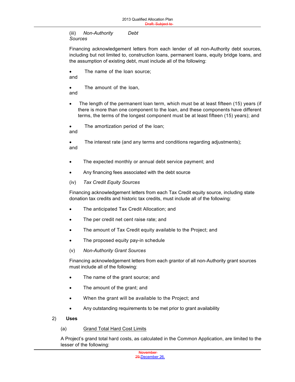(iii) *Non-Authority Debt Sources*

Financing acknowledgement letters from each lender of all non-Authority debt sources, including but not limited to, construction loans, permanent loans, equity bridge loans, and the assumption of existing debt, must include all of the following:

Board and

• The name of the loan source: and

 The amount of the loan, and

 The length of the permanent loan term, which must be at least fifteen (15) years (if there is more than one component to the loan, and these components have different terms, the terms of the longest component must be at least fifteen (15) years); and

• The amortization period of the loan;

and

 The interest rate (and any terms and conditions regarding adjustments); and

- The expected monthly or annual debt service payment; and
- Any financing fees associated with the debt source
- (iv) *Tax Credit Equity Sources*

Financing acknowledgement letters from each Tax Credit equity source, including state donation tax credits and historic tax credits, must include all of the following:

- The anticipated Tax Credit Allocation; and
- The per credit net cent raise rate; and
- The amount of Tax Credit equity available to the Project; and
- The proposed equity pay-in schedule
- (v) *Non-Authority Grant Sources*

Financing acknowledgement letters from each grantor of all non-Authority grant sources must include all of the following:

- The name of the grant source; and
- The amount of the grant; and
- When the grant will be available to the Project; and
- Any outstanding requirements to be met prior to grant availability
- 2) **Uses**
	- (a) Grand Total Hard Cost Limits

A Project's grand total hard costs, as calculated in the Common Application, are limited to the lesser of the following:

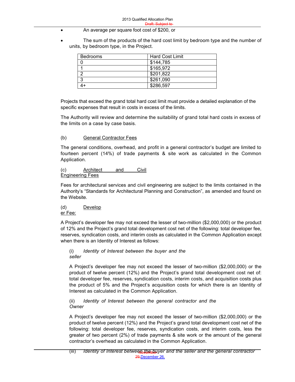- An average per square foot cost of \$200, or
- The sum of the products of the hard cost limit by bedroom type and the number of units, by bedroom type, in the Project.

| Bedrooms | <b>Hard Cost Limit</b> |
|----------|------------------------|
|          | \$144,785              |
|          | \$165,972              |
|          | \$201,822              |
| ◠        | \$261,090              |
|          | \$286,597              |

Projects that exceed the grand total hard cost limit must provide a detailed explanation of the specific expenses that result in costs in excess of the limits.

The Authority will review and determine the suitability of grand total hard costs in excess of the limits on a case by case basis.

#### (b) General Contractor Fees

The general conditions, overhead, and profit in a general contractor's budget are limited to fourteen percent (14%) of trade payments & site work as calculated in the Common Application.

#### (c) Architect and Civil Engineering Fees

Fees for architectural services and civil engineering are subject to the limits contained in the Authority's "Standards for Architectural Planning and Construction", as amended and found on the Website.

#### (d) Develop er Fee:

A Project's developer fee may not exceed the lesser of two-million (\$2,000,000) or the product of 12% and the Project's grand total development cost net of the following: total developer fee, reserves, syndication costs, and interim costs as calculated in the Common Application except when there is an Identity of Interest as follows:

(i) *Identity of Interest between the buyer and the seller*

A Project's developer fee may not exceed the lesser of two-million (\$2,000,000) or the product of twelve percent (12%) and the Project's grand total development cost net of: total developer fee, reserves, syndication costs, interim costs, and acquisition costs plus the product of 5% and the Project's acquisition costs for which there is an Identity of Interest as calculated in the Common Application.

(ii) *Identity of Interest between the general contractor and the Owner*

A Project's developer fee may not exceed the lesser of two-million (\$2,000,000) or the product of twelve percent (12%) and the Project's grand total development cost net of the following: total developer fee, reserves, syndication costs, and interim costs, less the greater of two percent (2%) of trade payments & site work or the amount of the general contractor's overhead as calculated in the Common Application.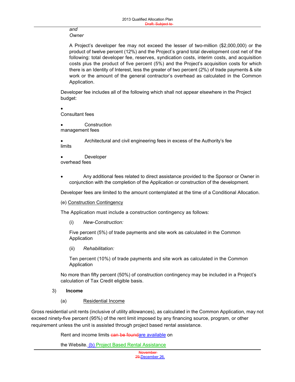#### *and Owner*

A Project's developer fee may not exceed the lesser of two-million (\$2,000,000) or the product of twelve percent (12%) and the Project's grand total development cost net of the following: total developer fee, reserves, syndication costs, interim costs, and acquisition costs plus the product of five percent (5%) and the Project's acquisition costs for which there is an Identity of Interest, less the greater of two percent (2%) of trade payments & site work or the amount of the general contractor's overhead as calculated in the Common Application.

Developer fee includes all of the following which shall not appear elsewhere in the Project budget:

 $\bullet$ Consultant fees

**Construction** management fees

 Architectural and civil engineering fees in excess of the Authority's fee limits

 Developer overhead fees

 Any additional fees related to direct assistance provided to the Sponsor or Owner in conjunction with the completion of the Application or construction of the development.

Developer fees are limited to the amount contemplated at the time of a Conditional Allocation.

(e) Construction Contingency

The Application must include a construction contingency as follows:

(i) *New-Construction:*

Five percent (5%) of trade payments and site work as calculated in the Common Application

(ii) *Rehabilitation:*

Ten percent (10%) of trade payments and site work as calculated in the Common Application

No more than fifty percent (50%) of construction contingency may be included in a Project's calculation of Tax Credit eligible basis.

#### 3) **Income**

(a) Residential Income

Gross residential unit rents (inclusive of utility allowances), as calculated in the Common Application, may not exceed ninety-five percent (95%) of the rent limit imposed by any financing source, program, or other requirement unless the unit is assisted through project based rental assistance.

Rent and income limits can be foundare available on

the Website. (b) Project Based Rental Assistance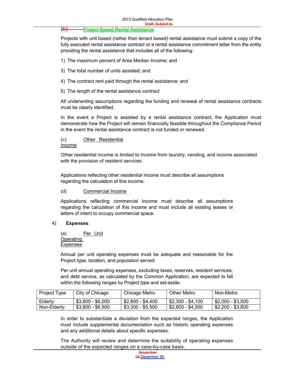#### (b) Project Based Rental Assistance

Projects with unit based (rather than tenant based) rental assistance must submit a copy of the fully executed rental assistance contract or a rental assistance commitment letter from the entity providing the rental assistance that includes all of the following:

- 1) The maximum percent of Area Median Income; and
- 3) The total number of units assisted; and
- 4) The contract rent paid through the rental assistance; and
- 5) The length of the rental assistance contract

All underwriting assumptions regarding the funding and renewal of rental assistance contracts must be clearly identified.

In the event a Project is assisted by a rental assistance contract, the Application must demonstrate how the Project will remain financially feasible throughout the Compliance Period in the event the rental assistance contract is not funded or renewed.

#### (c) Other Residential

#### Income

Other residential income is limited to income from laundry, vending, and income associated with the provision of resident services.

Applications reflecting other residential income must describe all assumptions regarding the calculation of this income.

#### (d) Commercial Income

Applications reflecting commercial income must describe all assumptions regarding the calculation of this income and must include all existing leases or letters of intent to occupy commercial space.

#### 4) **Expenses**

(a) Per Unit Operating Expenses

Annual per unit operating expenses must be adequate and reasonable for the Project type, location, and population served.

Per unit annual operating expenses, excluding taxes, reserves, resident services, and debt service, as calculated by the Common Application, are expected to fall within the following ranges by Project type and set-aside:

| Project Type | City of Chicago   | Chicago Metro     | <b>Other Metro</b> | Non-Metro         |
|--------------|-------------------|-------------------|--------------------|-------------------|
| Elderly:     | $$3.600 - $6.000$ | \$2.600 - \$4.400 | \$2.300 - \$4.100  | \$2,000 - \$3,500 |
| Non-Elderly: | $$3,800 - $6,500$ | \$3,300 - \$5,500 | \$2.600 - \$4.500  | \$2,200 - \$3,800 |

In order to substantiate a deviation from the expected ranges, the Application must include supplemental documentation such as historic operating expenses and any additional details about specific expenses.

The Authority will review and determine the suitability of operating expenses outside of the expected ranges on a case-by-case basis.

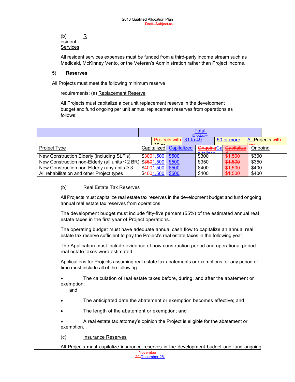#### (b) R esident Services

All resident services expenses must be funded from a third-party income stream such as Medicaid, McKinney Vento, or the Veteran's Administration rather than Project income.

Board and

#### 5) **Reserves**

All Projects must meet the following minimum reserve

requirements: (a) Replacement Reserve

All Projects must capitalize a per unit replacement reserve in the development budget and fund ongoing per unit annual replacement reserves from operations as follows:

|                                                                 |            |                         | <u>Total</u><br><b>Droignt</b> |            |                    |
|-----------------------------------------------------------------|------------|-------------------------|--------------------------------|------------|--------------------|
|                                                                 | $20 - x$   | Projects with 31 to 49  |                                | 50 or more | All Projects-with- |
| Project Type                                                    |            | Capitalized Capitalized | <b>OngoingCa</b><br>nitalizad  | Capitalize | Ongoing            |
| New Construction Elderly (including SLF's)                      | \$3001,500 | \$500                   | \$300                          | \$1,500    | \$300              |
| New Construction non-Elderly (all units $\leq$ 2 BR) \$3501,500 |            | \$500                   | \$350                          | \$1,500    | \$350              |
| New Construction non-Elderly (any units $\geq 3$                | \$4001,500 | \$500                   | \$400                          | \$1,500    | \$400              |
| All rehabilitation and other Project types                      | \$4001,500 | \$500                   | \$400                          | \$1,500    | \$400              |

#### (b) Real Estate Tax Reserves

All Projects must capitalize real estate tax reserves in the development budget and fund ongoing annual real estate tax reserves from operations.

The development budget must include fifty-five percent (55%) of the estimated annual real estate taxes in the first year of Project operations.

The operating budget must have adequate annual cash flow to capitalize an annual real estate tax reserve sufficient to pay the Project's real estate taxes in the following year.

The Application must include evidence of how construction period and operational period real estate taxes were estimated.

Applications for Projects assuming real estate tax abatements or exemptions for any period of time must include all of the following:

 The calculation of real estate taxes before, during, and after the abatement or exemption;

and

- The anticipated date the abatement or exemption becomes effective; and
- The length of the abatement or exemption; and

 A real estate tax attorney's opinion the Project is eligible for the abatement or exemption.

(c) Insurance Reserves

All Projects must capitalize insurance reserves in the development budget and fund ongoing

**November** 29,December 26,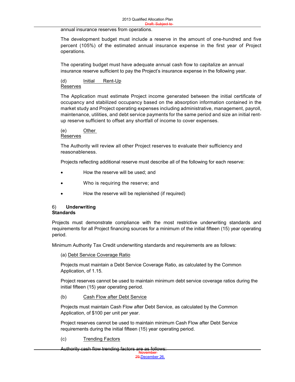annual insurance reserves from operations.

The development budget must include a reserve in the amount of one-hundred and five percent (105%) of the estimated annual insurance expense in the first year of Project operations.

The operating budget must have adequate annual cash flow to capitalize an annual insurance reserve sufficient to pay the Project's insurance expense in the following year.

#### (d) Initial Rent-Up Reserves

The Application must estimate Project income generated between the initial certificate of occupancy and stabilized occupancy based on the absorption information contained in the market study and Project operating expenses including administrative, management, payroll, maintenance, utilities, and debt service payments for the same period and size an initial rentup reserve sufficient to offset any shortfall of income to cover expenses.

#### (e) Other

Reserves

The Authority will review all other Project reserves to evaluate their sufficiency and reasonableness.

Projects reflecting additional reserve must describe all of the following for each reserve:

- How the reserve will be used; and
- Who is requiring the reserve; and
- How the reserve will be replenished (if required)

#### 6) **Underwriting Standards**

Projects must demonstrate compliance with the most restrictive underwriting standards and requirements for all Project financing sources for a minimum of the initial fifteen (15) year operating period.

Minimum Authority Tax Credit underwriting standards and requirements are as follows:

#### (a) Debt Service Coverage Ratio

Projects must maintain a Debt Service Coverage Ratio, as calculated by the Common Application, of 1.15.

Project reserves cannot be used to maintain minimum debt service coverage ratios during the initial fifteen (15) year operating period.

#### (b) Cash Flow after Debt Service

Projects must maintain Cash Flow after Debt Service, as calculated by the Common Application, of \$100 per unit per year.

Project reserves cannot be used to maintain minimum Cash Flow after Debt Service requirements during the initial fifteen (15) year operating period.

#### (c) Trending Factors

November Authority cash flow trending factors are as follows: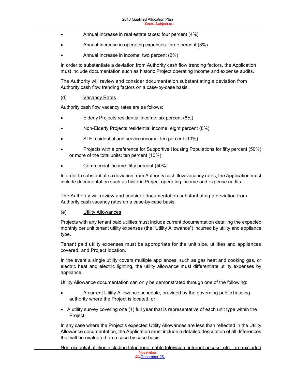- Annual Increase in real estate taxes: four percent (4%)
- Annual Increase in operating expenses: three percent (3%)
- Annual Increase in income: two percent (2%)

In order to substantiate a deviation from Authority cash flow trending factors, the Application must include documentation such as historic Project operating income and expense audits.

Board and

The Authority will review and consider documentation substantiating a deviation from Authority cash flow trending factors on a case-by-case basis.

#### (d) Vacancy Rates

Authority cash flow vacancy rates are as follows:

- Elderly Projects residential income: six percent (6%)
- Non-Elderly Projects residential income: eight percent (8%)
- SLF residential and service income: ten percent (10%)
- Projects with a preference for Supportive Housing Populations for fifty percent (50%) or more of the total units: ten percent (10%)
- Commercial income: fifty percent (50%)

In order to substantiate a deviation from Authority cash flow vacancy rates, the Application must include documentation such as historic Project operating income and expense audits.

The Authority will review and consider documentation substantiating a deviation from Authority cash vacancy rates on a case-by-case basis.

#### (e) Utility Allowances

Projects with any tenant paid utilities must include current documentation detailing the expected monthly per unit tenant utility expenses (the "Utility Allowance") incurred by utility and appliance type.

Tenant paid utility expenses must be appropriate for the unit size, utilities and appliances covered, and Project location.

In the event a single utility covers multiple appliances, such as gas heat and cooking gas, or electric heat and electric lighting, the utility allowance must differentiate utility expenses by appliance.

Utility Allowance documentation can only be demonstrated through one of the following:

- A current Utility Allowance schedule, provided by the governing public housing authority where the Project is located, or
- A utility survey covering one (1) full year that is representative of each unit type within the Project.

In any case where the Project's expected Utility Allowances are less than reflected in the Utility Allowance documentation, the Application must include a detailed description of all differences that will be evaluated on a case by case basis.

November 29,December 26, Non-essential utilities including telephone, cable television, internet access, etc., are excluded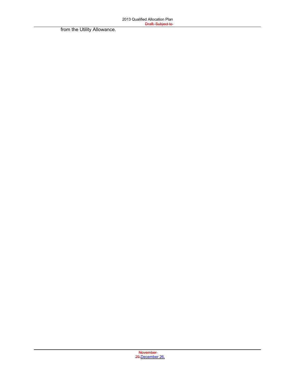from the Utility Allowance.

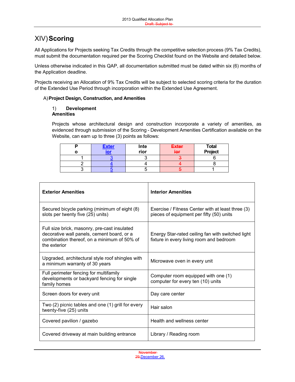## XIV)**Scoring**

All Applications for Projects seeking Tax Credits through the competitive selection process (9% Tax Credits), must submit the documentation required per the Scoring Checklist found on the Website and detailed below.

Unless otherwise indicated in this QAP, all documentation submitted must be dated within six (6) months of the Application deadline.

Projects receiving an Allocation of 9% Tax Credits will be subject to selected scoring criteria for the duration of the Extended Use Period through incorporation within the Extended Use Agreement.

#### A)**Project Design, Construction, and Amenities**

#### 1) **Development Amenities**

Projects whose architectural design and construction incorporate a variety of amenities, as evidenced through submission of the Scoring - Development Amenities Certification available on the Website, can earn up to three (3) points as follows:

| <u>Exter</u><br>- - | Inte | <b>Exter</b> | <b>Total</b> |
|---------------------|------|--------------|--------------|
|                     | rior | ier          | Project      |
|                     |      |              |              |
|                     |      |              |              |
|                     |      |              |              |

| <b>Exterior Amenities</b>                                                                                                                                 | <b>Interior Amenities</b>                                                                     |
|-----------------------------------------------------------------------------------------------------------------------------------------------------------|-----------------------------------------------------------------------------------------------|
| Secured bicycle parking (minimum of eight (8)<br>slots per twenty five (25) units)                                                                        | Exercise / Fitness Center with at least three (3)<br>pieces of equipment per fifty (50) units |
| Full size brick, masonry, pre-cast insulated<br>decorative wall panels, cement board, or a<br>combination thereof, on a minimum of 50% of<br>the exterior | Energy Star-rated ceiling fan with switched light<br>fixture in every living room and bedroom |
| Upgraded, architectural style roof shingles with<br>a minimum warranty of 30 years                                                                        | Microwave oven in every unit                                                                  |
| Full perimeter fencing for multifamily<br>developments or backyard fencing for single<br>family homes                                                     | Computer room equipped with one (1)<br>computer for every ten (10) units                      |
| Screen doors for every unit                                                                                                                               | Day care center                                                                               |
| Two (2) picnic tables and one (1) grill for every<br>twenty-five (25) units                                                                               | Hair salon                                                                                    |
| Covered pavilion / gazebo                                                                                                                                 | Health and wellness center                                                                    |
| Covered driveway at main building entrance                                                                                                                | Library / Reading room                                                                        |

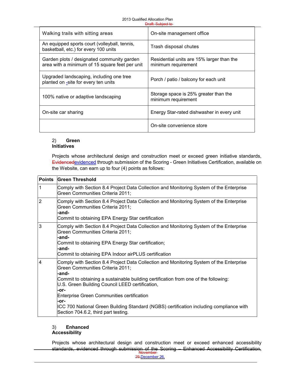| Walking trails with sitting areas                                                            | On-site management office                                        |
|----------------------------------------------------------------------------------------------|------------------------------------------------------------------|
| An equipped sports court (volleyball, tennis,<br>basketball, etc.) for every 100 units       | Trash disposal chutes                                            |
| Garden plots / designated community garden<br>area with a minimum of 15 square feet per unit | Residential units are 15% larger than the<br>minimum requirement |
| Upgraded landscaping, including one tree<br>planted on -site for every ten units             | Porch / patio / balcony for each unit                            |
| 100% native or adaptive landscaping                                                          | Storage space is 25% greater than the<br>minimum requirement     |
| On-site car sharing                                                                          | Energy Star-rated dishwasher in every unit                       |
|                                                                                              | On-site convenience store                                        |

#### 2) **Green Initiatives**

Projects whose architectural design and construction meet or exceed green initiative standards, Evidencedevidenced</u> through submission of the Scoring - Green Initiatives Certification, available on the Website, can earn up to four (4) points as follows:

| <b>Points</b>  | <b>Green Threshold</b>                                                                                                                                                                                                                                                                                                                                                                                                                                                                 |
|----------------|----------------------------------------------------------------------------------------------------------------------------------------------------------------------------------------------------------------------------------------------------------------------------------------------------------------------------------------------------------------------------------------------------------------------------------------------------------------------------------------|
| 1              | Comply with Section 8.4 Project Data Collection and Monitoring System of the Enterprise<br>Green Communities Criteria 2011;                                                                                                                                                                                                                                                                                                                                                            |
| $\overline{2}$ | Comply with Section 8.4 Project Data Collection and Monitoring System of the Enterprise<br>Green Communities Criteria 2011;<br>-and-<br>Commit to obtaining EPA Energy Star certification                                                                                                                                                                                                                                                                                              |
| 3              | Comply with Section 8.4 Project Data Collection and Monitoring System of the Enterprise<br>Green Communities Criteria 2011;<br>-and-<br>Commit to obtaining EPA Energy Star certification;<br>-and-<br>Commit to obtaining EPA Indoor airPLUS certification                                                                                                                                                                                                                            |
| $\overline{4}$ | Comply with Section 8.4 Project Data Collection and Monitoring System of the Enterprise<br>Green Communities Criteria 2011;<br>-and-<br>Commit to obtaining a sustainable building certification from one of the following:<br>U.S. Green Building Council LEED certification,<br>-or-<br><b>Enterprise Green Communities certification</b><br>-or-<br>ICC 700 National Green Building Standard (NGBS) certification including compliance with<br>Section 704.6.2, third part testing. |

#### 3) **Enhanced Accessibility**

standards, evidenced through submission of the Scoring – Enhanced Accessibility Certification,<br>November Projects whose architectural design and construction meet or exceed enhanced accessibility

29,December 26, 2012 Page 52 of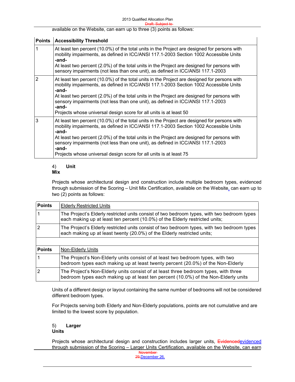available on the Website, can earn up to three (3) points as follows:

| <b>Points</b>  | <b>Accessibility Threshold</b>                                                                                                                                                                                                                                                                                                                                                                                                                                  |
|----------------|-----------------------------------------------------------------------------------------------------------------------------------------------------------------------------------------------------------------------------------------------------------------------------------------------------------------------------------------------------------------------------------------------------------------------------------------------------------------|
|                | At least ten percent (10.0%) of the total units in the Project are designed for persons with<br>mobility impairments, as defined in ICC/ANSI 117.1-2003 Section 1002 Accessible Units<br>-and-<br>At least two percent (2.0%) of the total units in the Project are designed for persons with<br>sensory impairments (not less than one unit), as defined in ICC/ANSI 117.1-2003                                                                                |
| $\overline{2}$ | At least ten percent (10.0%) of the total units in the Project are designed for persons with<br>mobility impairments, as defined in ICC/ANSI 117.1-2003 Section 1002 Accessible Units<br>-and-<br>At least two percent (2.0%) of the total units in the Project are designed for persons with<br>sensory impairments (not less than one unit), as defined in ICC/ANSI 117.1-2003<br>-and-<br>Projects whose universal design score for all units is at least 50 |
| 3              | At least ten percent (10.0%) of the total units in the Project are designed for persons with<br>mobility impairments, as defined in ICC/ANSI 117.1-2003 Section 1002 Accessible Units<br>-and-<br>At least two percent (2.0%) of the total units in the Project are designed for persons with<br>sensory impairments (not less than one unit), as defined in ICC/ANSI 117.1-2003<br>-and-<br>Projects whose universal design score for all units is at least 75 |

#### 4) **Unit Mix**

Projects whose architectural design and construction include multiple bedroom types, evidenced through submission of the Scoring – Unit Mix Certification, available on the Website, can earn up to two (2) points as follows:

| <b>Points</b>  | <b>Elderly Restricted Units</b>                                                                                                                                             |  |  |
|----------------|-----------------------------------------------------------------------------------------------------------------------------------------------------------------------------|--|--|
|                | The Project's Elderly restricted units consist of two bedroom types, with two bedroom types<br>each making up at least ten percent (10.0%) of the Elderly restricted units; |  |  |
| $\overline{2}$ | The Project's Elderly restricted units consist of two bedroom types, with two bedroom types<br>each making up at least twenty (20.0%) of the Elderly restricted units;      |  |  |
|                |                                                                                                                                                                             |  |  |
| <b>Points</b>  | Non-Elderly Units                                                                                                                                                           |  |  |
|                | The Project's Non-Elderly units consist of at least two bedroom types, with two<br>bedroom types each making up at least twenty percent (20.0%) of the Non-Elderly          |  |  |
| 2              | The Project's Non-Elderly units consist of at least three bedroom types, with three<br>bedroom types each making up at least ten percent (10.0%) of the Non-Elderly units   |  |  |

Units of a different design or layout containing the same number of bedrooms will not be considered different bedroom types.

For Projects serving both Elderly and Non-Elderly populations, points are not cumulative and are limited to the lowest score by population.

#### 5) **Larger Units**

**November** Projects whose architectural design and construction includes larger units, Evidencedevidenced through submission of the Scoring – Larger Units Certification, available on the Website, can earn

29,December 26,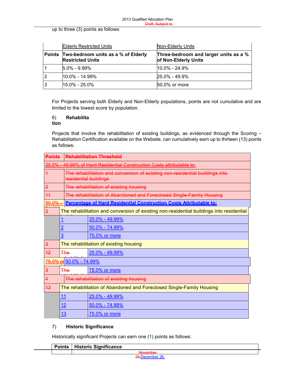up to three (3) points as follows:

|   | <b>Elderly Restricted Units</b>                                       | Non-Elderly Units                                             |
|---|-----------------------------------------------------------------------|---------------------------------------------------------------|
|   | Points Two-bedroom units as a % of Elderly<br><b>Restricted Units</b> | Three-bedroom and larger units as a %<br>of Non-Elderly Units |
|   | $15.0\% - 9.99\%$                                                     | l10.0% - 24.9%                                                |
| 2 | $10.0\% - 14.99\%$                                                    | $25.0\% - 49.9\%$                                             |
| 3 | $15.0\% - 25.0\%$                                                     | 50.0% or more                                                 |

For Projects serving both Elderly and Non-Elderly populations, points are not cumulative and are limited to the lowest score by population.

#### 6) **Rehabilita tion**

Projects that involve the rehabilitation of existing buildings, as evidenced through the Scoring -Rehabilitation Certification available on the Website, can cumulatively earn up to thirteen (13) points as follows:

| <b>Points</b>  |                         | <b>Rehabilitation Threshold</b>                                                                        |  |  |
|----------------|-------------------------|--------------------------------------------------------------------------------------------------------|--|--|
| 25.0%          |                         | 49.99% of Hard Residential Construction Costs attributable to:                                         |  |  |
| $\overline{1}$ |                         | The rehabilitation and conversion of existing non-residential buildings into-<br>residential buildings |  |  |
| $\overline{2}$ |                         | The rehabilitation of existing housing                                                                 |  |  |
| 44             |                         | The rehabilitation of Abandoned and Foreclosed Single-Family Housing                                   |  |  |
| 50.0%          |                         | Percentage of Hard Residential Construction Costs Attributable to:                                     |  |  |
| $\overline{2}$ |                         | The rehabilitation and conversion of existing non-residential buildings into residential               |  |  |
|                | <u>1</u>                | 25.0% - 49.99%                                                                                         |  |  |
|                | $\overline{2}$          | 50.0% - 74.99%                                                                                         |  |  |
|                | $\overline{3}$          | 75.0% or more                                                                                          |  |  |
| $\overline{3}$ |                         | The rehabilitation of existing housing                                                                 |  |  |
| 42             | The-                    | $25.0\% - 49.99\%$                                                                                     |  |  |
|                | 75.0% or 50.0% - 74.99% |                                                                                                        |  |  |
| $\overline{3}$ | <del>The </del>         | 75.0% or more                                                                                          |  |  |
| $\overline{4}$ |                         | The rehabilitation of existing housing                                                                 |  |  |
| 43             |                         | The rehabilitation of Abandoned and Foreclosed Single-Family Housing                                   |  |  |
|                | 11                      | <u>25.0% - 49.99%</u>                                                                                  |  |  |
|                | 12                      | <u>50.0% - 74.99%</u>                                                                                  |  |  |
|                | <u> 13</u>              | 75.0% or more                                                                                          |  |  |

#### 7) **Historic Significance**

Historically significant Projects can earn one (1) points as follows:

| <b>Points</b> | <b>Historic Significance</b> |  |
|---------------|------------------------------|--|
|               | <b>November</b>              |  |
|               | 29 December 26               |  |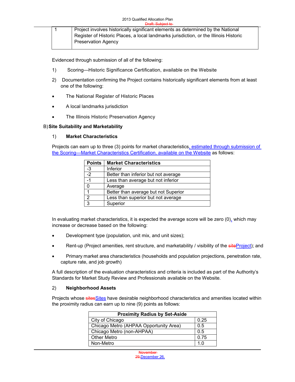|  | Project involves historically significant elements as determined by the National      |
|--|---------------------------------------------------------------------------------------|
|  | Register of Historic Places, a local landmarks jurisdiction, or the Illinois Historic |
|  | <b>Preservation Agency</b>                                                            |

Evidenced through submission of all of the following:

- 1) Scoring—Historic Significance Certification, available on the Website
- 2) Documentation confirming the Project contains historically significant elements from at least one of the following:
- The National Register of Historic Places
- A local landmarks jurisdiction
- The Illinois Historic Preservation Agency

#### B)**Site Suitability and Marketability**

#### 1) **Market Characteristics**

Projects can earn up to three (3) points for market characteristics, estimated through submission of the Scoring—Market Characteristics Certification, available on the Website as follows:

| <b>Points</b>  | <b>Market Characteristics</b>        |  |
|----------------|--------------------------------------|--|
| -3             | Inferior                             |  |
| $-2$           | Better than inferior but not average |  |
| $-1$           | Less than average but not inferior   |  |
| 0              | Average                              |  |
| 1              | Better than average but not Superior |  |
| $\overline{2}$ | Less than superior but not average   |  |
| $\overline{3}$ | Superior                             |  |

In evaluating market characteristics, it is expected the average score will be zero (0), which may increase or decrease based on the following:

- Development type (population, unit mix, and unit sizes);
- Rent-up (Project amenities, rent structure, and marketability / visibility of the site Project); and
- Primary market area characteristics (households and population projections, penetration rate, capture rate, and job growth)

A full description of the evaluation characteristics and criteria is included as part of the Authority's Standards for Market Study Review and Professionals available on the Website.

#### 2) **Neighborhood Assets**

Projects whose sitesSites have desirable neighborhood characteristics and amenities located within the proximity radius can earn up to nine (9) points as follows:

| <b>Proximity Radius by Set-Aside</b>   |      |
|----------------------------------------|------|
| City of Chicago                        | 0.25 |
| Chicago Metro (AHPAA Opportunity Area) | 0.5  |
| Chicago Metro (non-AHPAA)              | 0.5  |
| <b>Other Metro</b>                     | 0.75 |
| Non-Metro                              | 1 በ  |

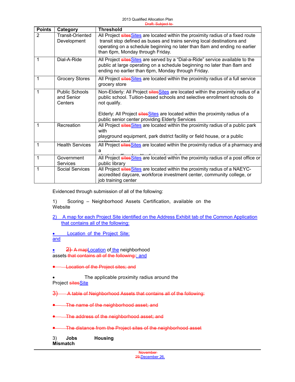| <b>Points</b>  | Category                                       | <b>Threshold</b>                                                                                                                                                                                                                                                                                                  |
|----------------|------------------------------------------------|-------------------------------------------------------------------------------------------------------------------------------------------------------------------------------------------------------------------------------------------------------------------------------------------------------------------|
| $\overline{2}$ | Transit-Oriented<br>Development                | All Project sites Sites are located within the proximity radius of a fixed route<br>transit stop defined as buses and trains serving local destinations and<br>operating on a schedule beginning no later than 8am and ending no earlier<br>than 6pm, Monday through Friday.                                      |
| 1              | Dial-A-Ride                                    | All Project sites Sites are served by a "Dial-a-Ride" service available to the<br>public at large operating on a schedule beginning no later than 8am and<br>ending no earlier than 6pm, Monday through Friday.                                                                                                   |
| 1              | <b>Grocery Stores</b>                          | All Project sites Sites are located within the proximity radius of a full service<br>grocery store                                                                                                                                                                                                                |
| 1              | <b>Public Schools</b><br>and Senior<br>Centers | Non-Elderly: All Project sites Sites are located within the proximity radius of a<br>public school. Tuition-based schools and selective enrollment schools do<br>not qualify.<br>Elderly: All Project sites Sites are located within the proximity radius of a<br>public senior center providing Elderly Services |
| 1              | Recreation                                     | All Project sites Sites are located within the proximity radius of a public park<br>with<br>playground equipment, park district facility or field house, or a public                                                                                                                                              |
| 1              | <b>Health Services</b>                         | All Project sitesSites are located within the proximity radius of a pharmacy and<br>a                                                                                                                                                                                                                             |
| 1              | Government<br>Services                         | All Project sites Sites are located within the proximity radius of a post office or<br>public library                                                                                                                                                                                                             |
| 1              | <b>Social Services</b>                         | All Project sites Sites are located within the proximity radius of a NAEYC-<br>accredited daycare, workforce investment center, community college, or<br>job training center                                                                                                                                      |

Evidenced through submission of all of the following:

1) Scoring – Neighborhood Assets Certification, available on the Website

2) A map for each Project Site identified on the Address Exhibit tab of the Common Application that contains all of the following:

**.** Location of the Project Site; and

• 2) A mapLocation of the neighborhood assets that contains all of the following:; and

**Location of the Project sites; and** 

The applicable proximity radius around the

Project sitesSite

3) A table of Neighborhood Assets that contains all of the following:

The name of the neighborhood asset; and

The address of the neighborhood asset; and

The distance from the Project sites of the neighborhood asset

3) **Jobs Housing Mismatch**

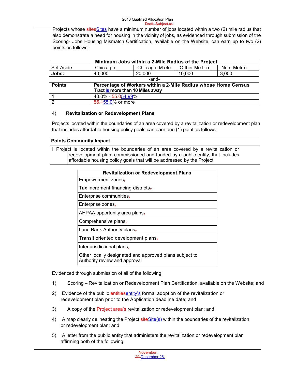Projects whose sitesSites have a minimum number of jobs located within a two (2) mile radius that also demonstrate a need for housing in the vicinity of jobs, as evidenced through submission of the Scoring- Jobs Housing Mismatch Certification, available on the Website, can earn up to two (2) points as follows:

| Minimum Jobs within a 2-Mile Radius of the Project |                                  |                                                                |                |           |
|----------------------------------------------------|----------------------------------|----------------------------------------------------------------|----------------|-----------|
| Set-Aside:                                         | Chic ag o                        | Chic ag o M etro                                               | O ther Me tr o | Non-Metro |
| Jobs:                                              | 40,000                           | 20,000                                                         | 10,000         | 3,000     |
|                                                    |                                  | -and-                                                          |                |           |
| <b>Points</b>                                      |                                  | Percentage of Workers within a 2-Mile Radius whose Home Census |                |           |
|                                                    | Tract is more than 10 Miles away |                                                                |                |           |
|                                                    | 40.0% - 55.054.99%               |                                                                |                |           |
| 12                                                 | 55.155.0% or more                |                                                                |                |           |

#### 4) **Revitalization or Redevelopment Plans**

Projects located within the boundaries of an area covered by a revitalization or redevelopment plan that includes affordable housing policy goals can earn one (1) point as follows:

| <b>Points Community Impact</b>                                                                                                                                                                                                                 |
|------------------------------------------------------------------------------------------------------------------------------------------------------------------------------------------------------------------------------------------------|
| 1 Project is located within the boundaries of an area covered by a revitalization or<br>redevelopment plan, commissioned and funded by a public entity, that includes<br>affordable housing policy goals that will be addressed by the Project |

| <b>Revitalization or Redevelopment Plans</b>                                            |
|-----------------------------------------------------------------------------------------|
| Empowerment zones,                                                                      |
| Tax increment financing districts,                                                      |
| Enterprise communities-                                                                 |
| Enterprise zones-                                                                       |
| AHPAA opportunity area plans-                                                           |
| Comprehensive plans,                                                                    |
| Land Bank Authority plans-                                                              |
| Transit oriented development plans,                                                     |
| Interjurisdictional plans-                                                              |
| Other locally designated and approved plans subject to<br>Authority review and approval |

Evidenced through submission of all of the following:

- 1) Scoring Revitalization or Redevelopment Plan Certification, available on the Website; and
- 2) Evidence of the public entitiesentity's formal adoption of the revitalization or redevelopment plan prior to the Application deadline date; and
- 3) A copy of the **Project area's**-revitalization or redevelopment plan; and
- 4) A map clearly delineating the Project  $siteSite(s)$  within the boundaries of the revitalization or redevelopment plan; and
- 5) A letter from the public entity that administers the revitalization or redevelopment plan affirming both of the following:

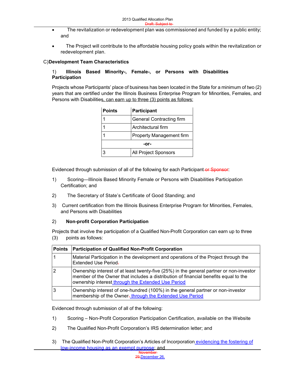- The revitalization or redevelopment plan was commissioned and funded by a public entity; and
- The Project will contribute to the affordable housing policy goals within the revitalization or redevelopment plan.

#### C)**Development Team Characteristics**

#### 1) **Illinois Based Minority-, Female-, or Persons with Disabilities Participation**

Projects whose Participants' place of business has been located in the State for a minimum of two (2) years that are certified under the Illinois Business Enterprise Program for Minorities, Females, and Persons with Disabilities, can earn up to three (3) points as follows:

| <b>Points</b> | <b>Participant</b>              |  |
|---------------|---------------------------------|--|
|               | <b>General Contracting firm</b> |  |
|               | Architectural firm              |  |
|               | <b>Property Management firm</b> |  |
| -or-          |                                 |  |
|               | All Project Sponsors            |  |

Evidenced through submission of all of the following for each Participant-or Sponsor:

- 1) Scoring—Illinois Based Minority Female or Persons with Disabilities Participation Certification; and
- 2) The Secretary of State's Certificate of Good Standing; and
- 3) Current certification from the Illinois Business Enterprise Program for Minorities, Females, and Persons with Disabilities

#### 2) **Non-profit Corporation Participation**

Projects that involve the participation of a Qualified Non-Profit Corporation can earn up to three (3) points as follows:

| <b>Points</b> | <b>Participation of Qualified Non-Profit Corporation</b>                                                                                                                                                                             |
|---------------|--------------------------------------------------------------------------------------------------------------------------------------------------------------------------------------------------------------------------------------|
|               | Material Participation in the development and operations of the Project through the<br>Extended Use Period-                                                                                                                          |
|               | Ownership interest of at least twenty-five (25%) in the general partner or non-investor<br>member of the Owner that includes a distribution of financial benefits equal to the<br>ownership interest through the Extended Use Period |
|               | Ownership interest of one-hundred (100%) in the general partner or non-investor<br>membership of the Owner-through the Extended Use Period                                                                                           |

Evidenced through submission of all of the following:

- 1) Scoring Non-Profit Corporation Participation Certification, available on the Website
- 2) The Qualified Non-Profit Corporation's IRS determination letter; and
- 3) The Qualified Non-Profit Corporation's Articles of Incorporation evidencing the fostering of low-income housing as an exempt purpose; and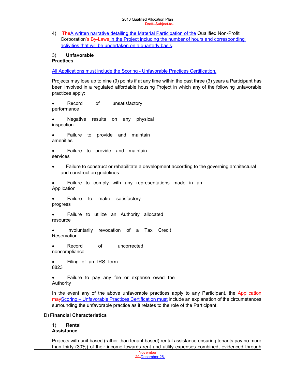Board and 4) TheA written narrative detailing the Material Participation of the Qualified Non-Profit Corporation's By-Laws in the Project including the number of hours and corresponding activities that will be undertaken on a quarterly basis.

#### 3) **Unfavorable Practices**

All Applications must include the Scoring - Unfavorable Practices Certification.

Projects may lose up to nine (9) points if at any time within the past three (3) years a Participant has been involved in a regulated affordable housing Project in which any of the following unfavorable practices apply:

 Record of unsatisfactory performance

 Negative results on any physical inspection

 Failure to provide and maintain amenities

 Failure to provide and maintain services

 Failure to construct or rehabilitate a development according to the governing architectural and construction guidelines

 Failure to comply with any representations made in an Application

 Failure to make satisfactory progress

 Failure to utilize an Authority allocated resource

 Involuntarily revocation of a Tax Credit **Reservation** 

 Record of uncorrected noncompliance

 Filing of an IRS form 8823

 Failure to pay any fee or expense owed the Authority

In the event any of the above unfavorable practices apply to any Participant, the Application mayScoring – Unfavorable Practices Certification must include an explanation of the circumstances surrounding the unfavorable practice as it relates to the role of the Participant.

#### D) **Financial Characteristics**

1) **Rental Assistance**

Projects with unit based (rather than tenant based) rental assistance ensuring tenants pay no more than thirty (30%) of their income towards rent and utility expenses combined, evidenced through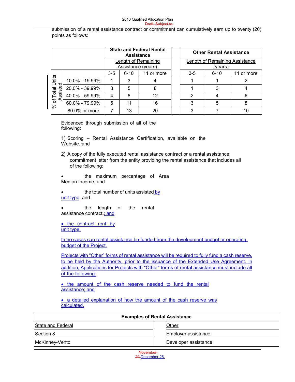submission of a rental assistance contract or commitment can cumulatively earn up to twenty  $(20)$ points as follows:

|                                   |                                           | <b>State and Federal Rental</b><br><b>Assistance</b> |          | <b>Other Rental Assistance</b> |                                |   |    |
|-----------------------------------|-------------------------------------------|------------------------------------------------------|----------|--------------------------------|--------------------------------|---|----|
|                                   | Length of Remaining<br>Assistance (years) |                                                      |          | (years)                        | Length of Remaining Assistance |   |    |
| $6 - 10$<br>$3 - 5$<br>11 or more |                                           | $3-5$                                                | $6 - 10$ | 11 or more                     |                                |   |    |
| Units                             | 10.0% - 19.99%                            |                                                      | 3        |                                |                                |   |    |
| ssisted                           | 20.0% - 39.99%                            | 3                                                    | 5        | 8                              |                                | 3 |    |
| of Total<br>⋖                     | 40.0% - 59.99%                            | 4                                                    | 8        | 12                             | 2                              |   | 6  |
| $\aleph$                          | 60.0% - 79.99%                            | 5                                                    | 11       | 16                             | 3                              | 5 |    |
|                                   | 80.0% or more                             |                                                      | 13       | 20                             | 3                              |   | 10 |

Evidenced through submission of all of the following:

1) Scoring – Rental Assistance Certification, available on the Website, and

2) A copy of the fully executed rental assistance contract or a rental assistance commitment letter from the entity providing the rental assistance that includes all of the following:

 the maximum percentage of Area Median Income; and

the total number of units assisted by unit type; and

 the length of the rental assistance contract-; and

 $\bullet$  the contract rent by unit type.

In no cases can rental assistance be funded from the development budget or operating budget of the Project.

Projects with "Other" forms of rental assistance will be required to fully fund a cash reserve, to be held by the Authority, prior to the issuance of the Extended Use Agreement. In addition, Applications for Projects with "Other" forms of rental assistance must include all of the following:

• the amount of the cash reserve needed to fund the rental assistance; and

• a detailed explanation of how the amount of the cash reserve was calculated.

| <b>Examples of Rental Assistance</b> |                      |  |
|--------------------------------------|----------------------|--|
| State and Federal                    | Other                |  |
| Section 8                            | Employer assistance  |  |
| McKinney-Vento                       | Developer assistance |  |

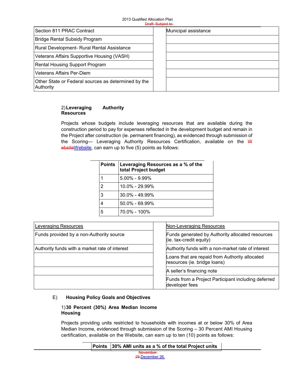#### 2013 Qualified Allocation Plan Draft: Subject to

|                                                                  | <del>Didit. Subject to</del> |
|------------------------------------------------------------------|------------------------------|
| Section 811 PRAC Contract                                        | Municipal assistance         |
| <b>Bridge Rental Subsidy Program</b>                             |                              |
| Rural Development- Rural Rental Assistance                       |                              |
| Veterans Affairs Supportive Housing (VASH)                       |                              |
| <b>Rental Housing Support Program</b>                            |                              |
| Veterans Affairs Per-Diem                                        |                              |
| Other State or Federal sources as determined by the<br>Authority |                              |

#### 2)**Leveraging Authority Resources**

Projects whose budgets include leveraging resources that are available during the construction period to pay for expenses reflected in the development budget and remain in the Project after construction (ie. permanent financing), as evidenced through submission of the Scoring- Leveraging Authority Resources Certification, available on the W ebsiteWebsite, can earn up to five (5) points as follows:

| <b>Points</b> | Leveraging Resources as a % of the<br>total Project budget |
|---------------|------------------------------------------------------------|
|               | $5.00\% - 9.99\%$                                          |
| 2             | $10.0\% - 29.99\%$                                         |
| 3             | $30.0\% - 49.99\%$                                         |
|               | 50.0% - 69.99%                                             |
| 5             | 70.0% - 100%                                               |

| Leveraging Resources                           | Non-Leveraging Resources                                                       |  |
|------------------------------------------------|--------------------------------------------------------------------------------|--|
| Funds provided by a non-Authority source       | Funds generated by Authority allocated resources<br>(ie. tax-credit equity)    |  |
| Authority funds with a market rate of interest | Authority funds with a non-market rate of interest                             |  |
|                                                | Loans that are repaid from Authority allocated<br>resources (ie. bridge loans) |  |
|                                                | A seller's financing note                                                      |  |
|                                                | Funds from a Project Participant including deferred<br>developer fees          |  |

#### E) **Housing Policy Goals and Objectives**

#### 1)**30 Percent (30%) Area Median Income Housing**

Projects providing units restricted to households with incomes at or below 30% of Area Median Income, evidenced through submission of the Scoring – 30 Percent AMI Housing certification, available on the Website, can earn up to ten (10) points as follows:

#### **Points 30% AMI units as a % of the total Project units**

November 29,December 26,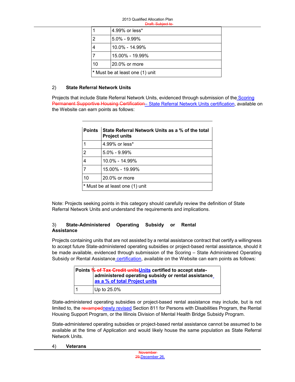|                                 |    | 4.99% or less*     |
|---------------------------------|----|--------------------|
|                                 | 2  | $5.0\% - 9.99\%$   |
|                                 |    | $10.0\% - 14.99\%$ |
|                                 |    | 15.00% - 19.99%    |
|                                 | 10 | 20.0% or more      |
| * Must be at least one (1) unit |    |                    |

#### 2) **State Referral Network Units**

Projects that include State Referral Network Units, evidenced through submission of the Scoring Permanent Supportive Housing Certification- State Referral Network Units certification, available on the Website can earn points as follows:

| <b>Points</b>                   | State Referral Network Units as a % of the total<br><b>Project units</b> |  |
|---------------------------------|--------------------------------------------------------------------------|--|
|                                 | 4.99% or less*                                                           |  |
| $\overline{2}$                  | $5.0\% - 9.99\%$                                                         |  |
| 4                               | $10.0\% - 14.99\%$                                                       |  |
| 7                               | 15.00% - 19.99%                                                          |  |
| 10<br>20.0% or more             |                                                                          |  |
| * Must be at least one (1) unit |                                                                          |  |

Note: Projects seeking points in this category should carefully review the definition of State Referral Network Units and understand the requirements and implications.

#### 3) **State-Administered Operating Subsidy or Rental Assistance**

Projects containing units that are not assisted by a rental assistance contract that certify a willingness to accept future State-administered operating subsidies or project-based rental assistance, should it be made available, evidenced through submission of the Scoring – State Administered Operating Subsidy or Rental Assistance certification, available on the Website can earn points as follows:

| Points % of Tax Credit unitsUnits certified to accept state-<br>administered operating subsidy or rental assistance_ |                               |
|----------------------------------------------------------------------------------------------------------------------|-------------------------------|
|                                                                                                                      | as a % of total Project units |
|                                                                                                                      | Up to 25.0%                   |

State-administered operating subsidies or project-based rental assistance may include, but is not limited to, the revampednewly revised Section 811 for Persons with Disabilities Program, the Rental Housing Support Program, or the Illinois Division of Mental Health Bridge Subsidy Program.

State-administered operating subsidies or project-based rental assistance cannot be assumed to be available at the time of Application and would likely house the same population as State Referral Network Units.

4) **Veterans**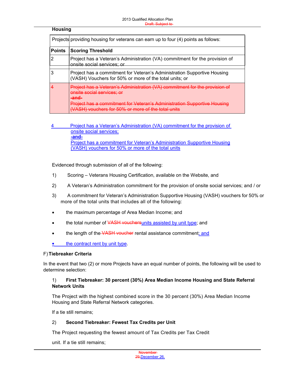#### **Housing**

|               | Projects providing housing for veterans can earn up to four (4) points as follows:                                                                                                                                                                             |  |  |
|---------------|----------------------------------------------------------------------------------------------------------------------------------------------------------------------------------------------------------------------------------------------------------------|--|--|
| <b>Points</b> | <b>Scoring Threshold</b>                                                                                                                                                                                                                                       |  |  |
|               | Project has a Veteran's Administration (VA) commitment for the provision of<br>onsite social services; or                                                                                                                                                      |  |  |
|               | Project has a commitment for Veteran's Administration Supportive Housing<br>(VASH) Vouchers for 50% or more of the total units; or                                                                                                                             |  |  |
|               | Project has a Veteran's Administration (VA) commitment for the provision<br><del>onsite social services: or</del><br>-and.<br><u> Project has a commitment for Veteran's Administration Sunnortive Ho</u><br>$SH)$ vouchers for $50\%$ or more of the total is |  |  |

4 Project has a Veteran's Administration (VA) commitment for the provision of onsite social services; **-and-**Project has a commitment for Veteran's Administration Supportive Housing (VASH) vouchers for 50% or more of the total units

Evidenced through submission of all of the following:

- 1) Scoring Veterans Housing Certification, available on the Website, and
- 2) A Veteran's Administration commitment for the provision of onsite social services; and / or
- 3) A commitment for Veteran's Administration Supportive Housing (VASH) vouchers for 50% or more of the total units that includes all of the following:
- the maximum percentage of Area Median Income; and
- the total number of VASH vouchersunits assisted by unit type; and
- the length of the VASH voucher rental assistance commitment; and

 $\bullet$  the contract rent by unit type.

#### F) **Tiebreaker Criteria**

In the event that two (2) or more Projects have an equal number of points, the following will be used to determine selection:

#### 1) **First Tiebreaker: 30 percent (30%) Area Median Income Housing and State Referral Network Units**

The Project with the highest combined score in the 30 percent (30%) Area Median Income Housing and State Referral Network categories.

If a tie still remains;

#### 2) **Second Tiebreaker: Fewest Tax Credits per Unit**

The Project requesting the fewest amount of Tax Credits per Tax Credit

unit. If a tie still remains;

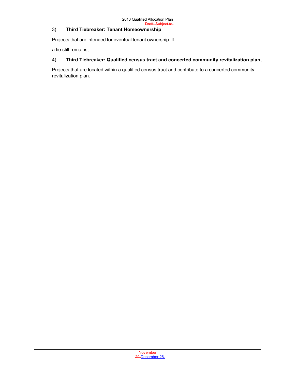#### 3) Third Tiebreaker: Tenant Homeownership

Projects that are intended for eventual tenant ownership. If

a tie still remains;

#### 4) **Third Tiebreaker: Qualified census tract and concerted community revitalization plan,**

Projects that are located within a qualified census tract and contribute to a concerted community revitalization plan.